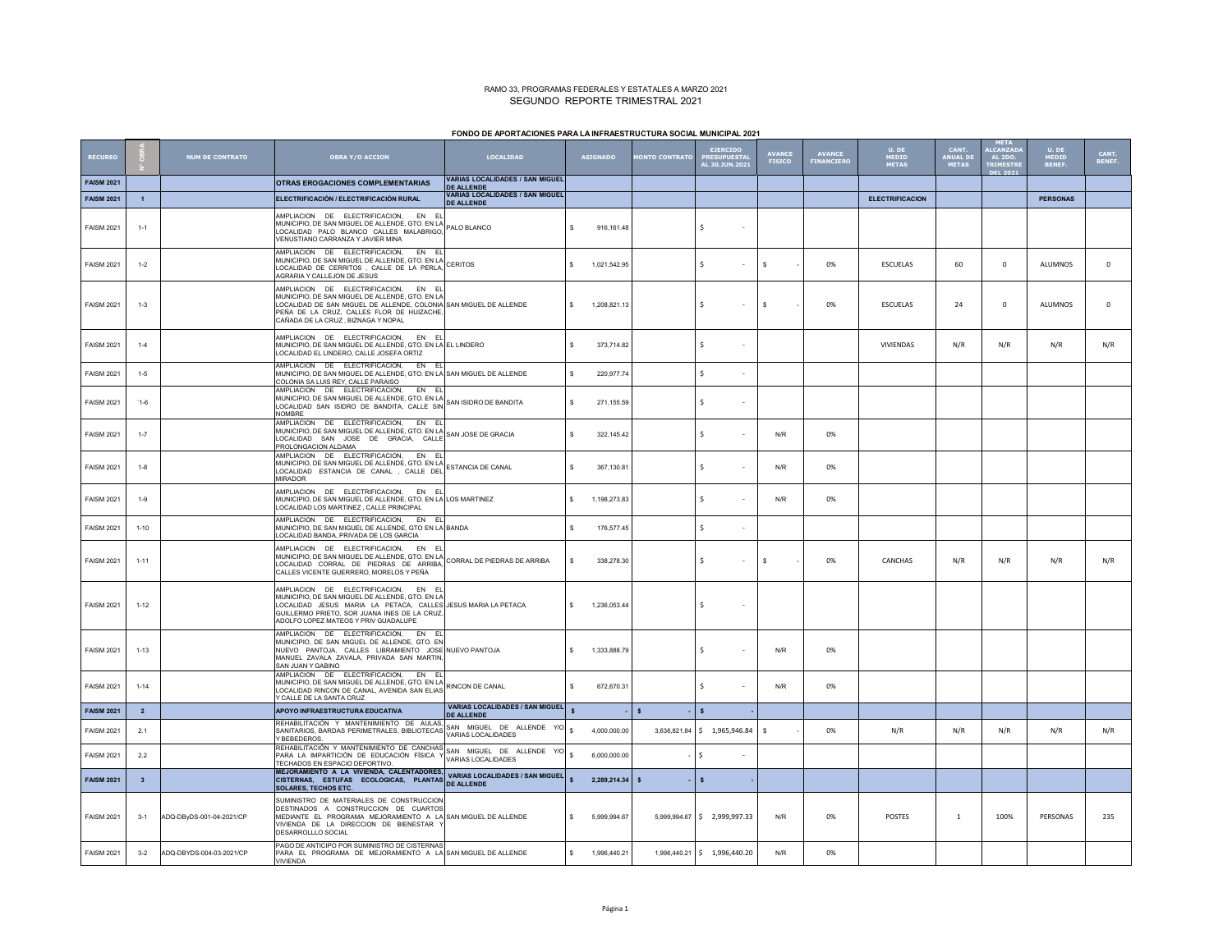### RAMO 33, PROGRAMAS FEDERALES Y ESTATALES A MARZO 2021 SEGUNDO REPORTE TRIMESTRAL 2021

## **FONDO DE APORTACIONES PARA LA INFRAESTRUCTURA SOCIAL MUNICIPAL 2021**

| <b>RECURSO</b>    |                         | <b>NUM DE CONTRATO</b>   | <b>OBRA Y/O ACCION</b>                                                                                                                                                                                                                                                        | <b>LOCALIDAD</b>                                            | <b>ASIGNADO</b> |              | <b>IONTO CONTRATO</b> | <b>EJERCIDO</b><br><b>PRESUPUESTA</b><br>AL 30.1UN.2021 | <b>AVANCE</b><br><b>FISICO</b> | <b>AVANCE</b><br><b>FINANCIERO</b> | U. DE<br>MEDID<br><b>METAS</b> | <b>CANT.</b><br>ANUAL DE<br><b>METAS</b> | <b>META</b><br><b>ALCANZAD</b><br><b>AL 2DO.</b><br><b>TRIMESTR</b> | U. DE<br>MEDID<br><b>BENEF</b> | CANT.<br><b>BENEF.</b> |
|-------------------|-------------------------|--------------------------|-------------------------------------------------------------------------------------------------------------------------------------------------------------------------------------------------------------------------------------------------------------------------------|-------------------------------------------------------------|-----------------|--------------|-----------------------|---------------------------------------------------------|--------------------------------|------------------------------------|--------------------------------|------------------------------------------|---------------------------------------------------------------------|--------------------------------|------------------------|
| <b>FAISM 2021</b> |                         |                          | OTRAS EROGACIONES COMPLEMENTARIAS                                                                                                                                                                                                                                             | <b>VARIAS LOCALIDADES / SAN MIGUEL</b>                      |                 |              |                       |                                                         |                                |                                    |                                |                                          |                                                                     |                                |                        |
|                   |                         |                          | ELECTRIFICACIÓN / ELECTRIFICACIÓN RURAL                                                                                                                                                                                                                                       | <b>DE ALLENDE</b><br><b>VARIAS LOCALIDADES / SAN MIGUEL</b> |                 |              |                       |                                                         |                                |                                    | <b>ELECTRIFICACION</b>         |                                          |                                                                     | <b>PERSONAS</b>                |                        |
| <b>FAISM 2021</b> | $\overline{1}$          |                          |                                                                                                                                                                                                                                                                               | <b>DE ALLENDE</b>                                           |                 |              |                       |                                                         |                                |                                    |                                |                                          |                                                                     |                                |                        |
| <b>FAISM 2021</b> | $1 - 1$                 |                          | AMPLIACION DE ELECTRIFICACIÓN, EN EL<br>MINIMUM DE LES MINIMUM DE ALLES DE LA PALO BLANCO<br>LOCALIDAD PALO BLANCO CALLES MALABRIGO,<br>VENUSTIANO CARRANZA Y JAVIER MINA                                                                                                     |                                                             | s               | 916, 161.48  |                       | Ŝ.                                                      |                                |                                    |                                |                                          |                                                                     |                                |                        |
| <b>FAISM 2021</b> | $1 - 2$                 |                          | AMPLIACION DE ELECTRIFICACIÓN, EN EL<br>AMPLIACIUN DE ELECTINI IONOJON, ETO EN LA CERTOS<br>MUNICIPIO, DE SAN MIGUEL DE ALLE DE LA DEDIA CERITOS<br>LOCALIDAD DE CERRITOS, CALLE DE LA PERLA,<br>AGRARIA Y CALLEJON DE JESUS                                                  |                                                             |                 | 1.021.542.95 |                       | Š.<br>$\sim$                                            | s                              | 0%                                 | ESCUELAS                       | 60                                       | $^{\circ}$                                                          | ALUMNOS                        | $\mathbf 0$            |
| <b>FAISM 2021</b> | $1 - 3$                 |                          | AMPLIACION DE ELECTRIFICACION, EN EL<br>MUNICIPIO, DE SAN MIGUEL DE ALLENDE, GTO. EN LA<br>LOCALIDAD DE SAN MIGUEL DE ALLENDE, COLONIA SAN MIGUEL DE ALLENDE<br>PEÑA DE LA CRUZ, CALLES FLOR DE HUIZACHE,<br>CAÑADA DE LA CRUZ, BIZNAGA Y NOPAL                               |                                                             | s.              | 1,208,821.13 |                       | Ś.                                                      | s                              | 0%                                 | <b>ESCUELAS</b>                | 24                                       | $\circ$                                                             | ALUMNOS                        | $\mathbf 0$            |
| <b>FAISM 2021</b> | $1 - 4$                 |                          | AMPLIACION DE ELECTRIFICACION, EN EL<br>MUNICIPIO, DE SAN MIGUEL DE ALLENDE, GTO. EN LA EL LINDERO<br>OCALIDAD EL LINDERO, CALLE JOSEFA ORTIZ                                                                                                                                 |                                                             | s               | 373,714.82   |                       | $\ddot{s}$                                              |                                |                                    | VIVIENDAS                      | N/R                                      | N/R                                                                 | N/R                            | N/R                    |
| <b>FAISM 2021</b> | $1 - 5$                 |                          | AMPLIACION DE ELECTRIFICACION, EN EL<br>MUNICIPIO, DE SAN MIGUEL DE ALLENDE, GTO. EN LA SAN MIGUEL DE ALLENDE<br>COLONIA SA LUIS REY, CALLE PARAISO                                                                                                                           |                                                             | s               | 220,977.74   |                       | Ś.                                                      |                                |                                    |                                |                                          |                                                                     |                                |                        |
| <b>FAISM 2021</b> | $1-6$                   |                          | AMPLIACION DE ELECTRIFICACION,<br>EN EL<br>MUNICIPIO, DE SAN MIGUEL DE ALLENDE, GTO. EN LA<br>MUNICIPIO, DE SAN MIGUEL DE ALLENDE, GTO. EN LA<br>CONTROL DE SAN MIGUEL DE DALLENDES DALLE DIMISSION DE BANDITA<br>LOCALIDAD SAN ISIDRO DE BANDITA, CALLE SIN<br><b>NOMBRE</b> |                                                             | s               | 271.155.59   |                       | Ś.                                                      |                                |                                    |                                |                                          |                                                                     |                                |                        |
| <b>FAISM 2021</b> | $1 - 7$                 |                          | AMPLIACION DE ELECTRIFICACION, EN EL<br>AMPLIACION DE ELECTINFIDADIONES DE LA CHIANA<br>MUNICIPIO, DE SAN MIGUEL DE ALLENDE, GTO CALLE SAN JOSE DE GRACIA<br>LOCALIDAD SAN JOSE DE GRACIA, CALLE<br>PROLONGACION ALDAMA                                                       |                                                             | s               | 322,145.42   |                       | Ś                                                       | N/R                            | 0%                                 |                                |                                          |                                                                     |                                |                        |
| <b>FAISM 2021</b> | $1 - 8$                 |                          | AMPLIACION DE ELECTRIFICACION, EN EL<br>AMPLIACION DE ELECTRIT DANNON, CTO. EN LA<br>MUNICIPIO, DE SAN MIGUEL DE ALLIENDE, GTO. EN LA<br>-- ALLIENDE DE MILLENDE DE LES LES DE LA DE DE LA DE LA DE CANAL<br>LOCALIDAD ESTANCIA DE CANAL , CALLE DEL<br>MIRADOR               |                                                             | s.              | 367.130.81   |                       | $\ddot{\phantom{0}}$                                    | N/R                            | 0%                                 |                                |                                          |                                                                     |                                |                        |
| <b>FAISM 2021</b> | $1 - 9$                 |                          | AMPLIACION DE ELECTRIFICACION, EN EL<br>MUNICIPIO, DE SAN MIGUEL DE ALLENDE, GTO. EN LA LOS MARTINEZ<br>OCALIDAD LOS MARTINEZ, CALLE PRINCIPAL                                                                                                                                |                                                             | s.              | 1,198,273.83 |                       | Ś                                                       | N/R                            | 0%                                 |                                |                                          |                                                                     |                                |                        |
| <b>FAISM 2021</b> | $1 - 10$                |                          | AMPLIACION DE ELECTRIFICACION. EN EL<br>MUNICIPIO, DE SAN MIGUEL DE ALLENDE, GTO EN LA BANDA<br>OCALIDAD BANDA, PRIVADA DE LOS GARCIA                                                                                                                                         |                                                             | s.              | 176,577.45   |                       | $\ddot{\mathbf{s}}$                                     |                                |                                    |                                |                                          |                                                                     |                                |                        |
| <b>FAISM 2021</b> | $1 - 11$                |                          | AMPLIACION DE ELECTRIFICACION, EN EL<br>AMPLIACION DE ELECTINI INCORRE —<br>MUNICIPIO, DE SAN MIGUEL DE ALLENDE, GTO. EN LA CORRAL DE PIEDRAS DE ARRIBA<br>LOCALIDAD CORRAL DE PIEDRAS DE ARRIBA,<br>CALLES VICENTE GUERRERO, MORELOS Y PEÑA                                  |                                                             | s.              | 338,278.30   |                       | Š.                                                      | s                              | 0%                                 | CANCHAS                        | N/R                                      | N/R                                                                 | N/R                            | N/R                    |
| <b>FAISM 2021</b> | $1 - 12$                |                          | AMPLIACION DE ELECTRIFICACION, EN EL<br>MUNICIPIO. DE SAN MIGUEL DE ALLENDE. GTO. EN LA<br>LOCALIDAD JESUS MARIA LA PETACA, CALLES JESUS MARIA LA PETACA<br>GUILLERMO PRIETO, SOR JUANA INES DE LA CRUZ,<br>ADOLFO LOPEZ MATEOS Y PRIV GUADALUPE                              |                                                             | s.              | 1.236.053.44 |                       | Ŝ.                                                      |                                |                                    |                                |                                          |                                                                     |                                |                        |
| <b>FAISM 2021</b> | $1 - 13$                |                          | AMPLIACION DE ELECTRIFICACION, EN EL<br>MUNICIPIO, DE SAN MIGUEL DE ALLENDE, GTO. EN<br>NUEVO PANTOJA, CALLES LIBRAMIENTO JOSE NUEVO PANTOJA<br>MANUEL ZAVALA ZAVALA, PRIVADA SAN MARTIN,<br>SAN JUAN Y GABINO                                                                |                                                             | s.              | 1,333,888.79 |                       | Ś.                                                      | N/R                            | 0%                                 |                                |                                          |                                                                     |                                |                        |
| <b>FAISM 2021</b> | $1 - 14$                |                          | AMPLIACION DE ELECTRIFICACION. EN EL<br>AMPLIACIUN DE ELEU INITIO (UNIT)<br>MUNICIPIO, DE SAN MIGUEL DE ALLENDE, GTO. EN LA RINCON DE CANAL<br>LOCALIDAD RINCON DE CANAL, AVENIDA SAN ELIAS<br>Y CALLE DE LA SANTA CRUZ                                                       |                                                             | s               | 672,670.31   |                       | Ś                                                       | N/R                            | 0%                                 |                                |                                          |                                                                     |                                |                        |
| <b>FAISM 2021</b> | $\overline{2}$          |                          | APOYO INFRAESTRUCTURA EDUCATIVA                                                                                                                                                                                                                                               | <b>VARIAS LOCALIDADES / SAN MIGUEL</b><br><b>DE ALLENDE</b> |                 |              | $\mathbf{s}$          | $\mathbf{s}$                                            |                                |                                    |                                |                                          |                                                                     |                                |                        |
| <b>FAISM 2021</b> | 2.1                     |                          | REHABILITACIÓN Y MANTENIMIENTO DE AULAS.<br>SANITARIOS, BARDAS PERIMETRALES, BIBLIOTECAS VARIAS LOCALIDADES                                                                                                                                                                   |                                                             |                 | 4,000,000.00 |                       | 3,636,821.84 \$ 1,965,946.84                            | s                              | 0%                                 | N/R                            | N/R                                      | N/R                                                                 | N/R                            | N/R                    |
| <b>FAISM 2021</b> | 2.2                     |                          | TRENABLITACIÓN Y MANTENIMIENTO DE CANCHAS<br>REHABILITACIÓN Y MANTENIMIENTO DE CANCHAS SAN MIGUEL DE ALLENDE YIO<br>PARA LA IMPARTICIÓN DE CONCRUM FÍSICA Y VARIAS LOCALIDADES<br>TECHADOS EN ESPACIO DEPORTIVO.                                                              |                                                             | $\mathbf{s}$    | 6,000,000.00 |                       | Ś                                                       |                                |                                    |                                |                                          |                                                                     |                                |                        |
| <b>FAISM 2021</b> | $\overline{\mathbf{3}}$ |                          | ILEUTROPO A LA VIVIENDA, CALENTADORES.<br>MEJORAMIENTO A LA VIVIENDA, CALENTADORES.<br>CISTERNAS, ESTUFAS ECOLOGICAS, PLANTAS DE ALLENDE<br><b>SOLARES, TECHOS ETC.</b>                                                                                                       |                                                             | $\mathbf{S}$    | 2,289,214.34 | $\mathbf{s}$          | $\mathbf{s}$                                            |                                |                                    |                                |                                          |                                                                     |                                |                        |
| <b>FAISM 2021</b> | $3-1$                   | ADQ-DByDS-001-04-2021/CP | SUMINISTRO DE MATERIALES DE CONSTRUCCION<br>DESTINADOS A CONSTRUCCION DE CUARTOS<br>MEDIANTE EL PROGRAMA MEJORAMIENTO A LA SAN MIGUEL DE ALLENDE<br>VIVIENDA DE LA DIRECCION DE BIENESTAR Y<br>DESARROLLLO SOCIAL                                                             |                                                             | s.              | 5,999,994.67 |                       | 5,999,994.67 \$ 2,999,997.33                            | N/R                            | 0%                                 | POSTES                         | $\mathbf{1}$                             | 100%                                                                | PERSONAS                       | 235                    |
| <b>FAISM 2021</b> | $3-2$                   | ADQ-DBYDS-004-03-2021/CP | PAGO DE ANTICIPO POR SUMINISTRO DE CISTERNAS<br>PARA EL PROGRAMA DE MEJORAMIENTO A LA SAN MIGUEL DE ALLENDE<br><b>VIVIENDA</b>                                                                                                                                                |                                                             | s.              | 1,996,440.21 |                       | 1,996,440.21 \$ 1,996,440.20                            | N/R                            | 0%                                 |                                |                                          |                                                                     |                                |                        |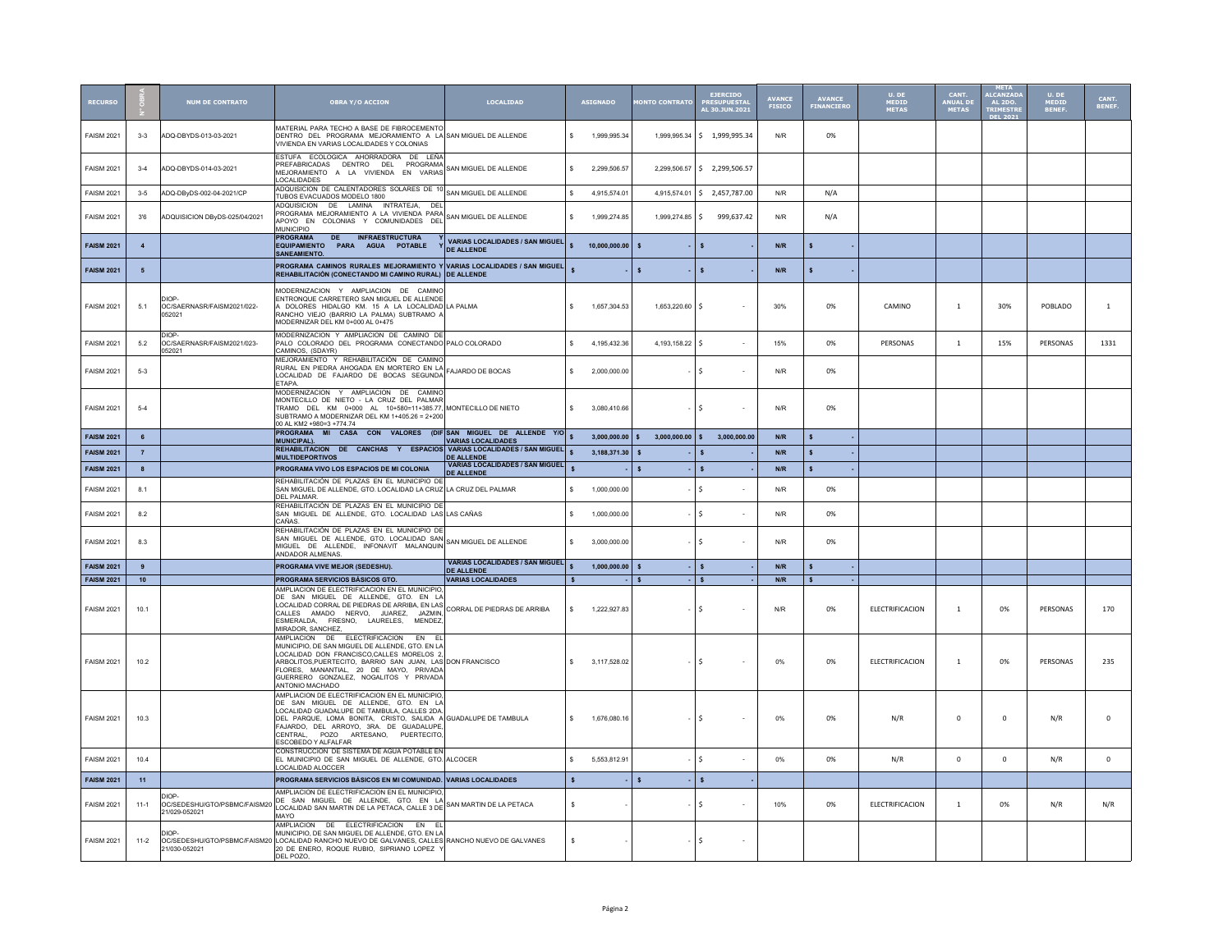|                   |                 | NUM DE CONTRATO                                        | <b>OBRA Y/O ACCION</b>                                                                                                                                                                                                                                                                                                   | <b>LOCALIDAD</b>                                            |              | <b>ASIGNADO</b> | <b>ONTO CONTRAT</b>          |                    | <b>EJERCIDO</b><br>PRESUPUESTAL<br>AL 30.JUN.2021 | <b>AVANCE</b><br>FISICO | <b>AVANCE</b><br>FINANCIERO | $U.$ DE<br>MEDID<br><b>METAS</b> | CANT.<br>ANIIAI D<br><b>METAS</b> | <b>ALCANZAD</b><br><b>AL 2DO</b> | U. DE<br>MEDID<br>BENEF. | CANT.<br>BENEF |
|-------------------|-----------------|--------------------------------------------------------|--------------------------------------------------------------------------------------------------------------------------------------------------------------------------------------------------------------------------------------------------------------------------------------------------------------------------|-------------------------------------------------------------|--------------|-----------------|------------------------------|--------------------|---------------------------------------------------|-------------------------|-----------------------------|----------------------------------|-----------------------------------|----------------------------------|--------------------------|----------------|
| <b>FAISM 2021</b> | $3-3$           | ADQ-DBYDS-013-03-2021                                  | MATERIAL PARA TECHO A BASE DE FIBROCEMENTO<br>DENTRO DEL PROGRAMA MEJORAMIENTO A LA SAN MIGUEL DE ALLENDE<br>VIVIENDA EN VARIAS LOCALIDADES Y COLONIAS                                                                                                                                                                   |                                                             | s.           | 1,999,995.34    | 1,999,995.34                 |                    | \$ 1,999,995.34                                   | N/R                     | 0%                          |                                  |                                   |                                  |                          |                |
| <b>FAISM 2021</b> | $3 - 4$         | ADQ-DBYDS-014-03-2021                                  | ESTUEA ECOLOGICA AHORRADORA DE LEÑA<br>PREFABRICADAS DENTRO DEL PROGRAMA<br>MEJORAMIENTO A LA VIVIENDA EN VARIAS<br><b>LOCALIDADES</b>                                                                                                                                                                                   | SAN MIGUEL DE ALLENDE                                       | s.           | 2.299.506.57    | 2,299,506.57                 |                    | \$2,299,506.57                                    |                         |                             |                                  |                                   |                                  |                          |                |
| <b>FAISM 2021</b> | $3-5$           | ADQ-DBvDS-002-04-2021/CP                               | ADQUISICION DE CALENTADORES SOLARES DE 10 SAN MIGUEL DE ALLENDE<br>TUBOS EVACUADOS MODELO 1800                                                                                                                                                                                                                           |                                                             | \$.          | 4 915 574 01    | 4 915 574 01                 |                    | $5$ 2.457.787.00                                  | N/R                     | N/A                         |                                  |                                   |                                  |                          |                |
| <b>FAISM 2021</b> | 3'6             | ADQUISICION DByDS-025/04/2021                          | ADQUISICION DE LAMINA INTRATEJA, DEL<br>PROGRAMA MEJORAMIENTO A LA VIVIENDA PARA<br>APOYO EN COLONIAS Y COMUNIDADES DEL<br><b>MUNICIPIO</b>                                                                                                                                                                              | SAN MIGUEL DE ALLENDE                                       |              | 1,999,274.85    | 1,999,274.85                 | -S                 | 999,637.42                                        | N/R                     | N/A                         |                                  |                                   |                                  |                          |                |
| <b>FAISM 2021</b> | $\overline{4}$  |                                                        | <b>PROGRAMA</b><br><b>DE</b><br><b>INFRAESTRUCTURA</b><br>EQUIPAMIENTO PARA AGUA POTABLE<br><b>SANEAMIENTO</b>                                                                                                                                                                                                           | VARIAS LOCALIDADES / SAN MIGUEL<br><b>DE ALLENDE</b>        | $\mathbf{s}$ | 10,000,000.00   | s                            |                    |                                                   | N/R                     | \$                          |                                  |                                   |                                  |                          |                |
| <b>FAISM 2021</b> | 5               |                                                        | PROGRAMA CAMINOS RURALES MEJORAMIENTO Y VARIAS LOCALIDADES / SAN MIGUEL<br>REHABILITACIÓN (CONECTANDO MI CAMINO RURAL) DE ALLENDE                                                                                                                                                                                        |                                                             |              |                 | $\mathbf{s}$                 |                    | $\mathbf{s}$                                      | N/R                     | Ś                           |                                  |                                   |                                  |                          |                |
| <b>FAISM 2021</b> | 5.1             | DIOP<br>OC/SAERNASR/FAISM2021/022-<br>052021           | MODERNIZACION Y AMPLIACION DE CAMINO<br>ENTRONQUE CARRETERO SAN MIGUEL DE ALLENDE<br>DOLORES HIDALGO KM. 15 A LA LOCALIDAD LA PALMA<br>RANCHO VIEJO (BARRIO LA PALMA) SUBTRAMO A<br>MODERNIZAR DEL KM 0+000 AL 0+475                                                                                                     |                                                             | s.           | 1,657,304.53    | 1,653,220.60                 | -S                 |                                                   | 30%                     | 0%                          | CAMINO                           | $\,$ 1 $\,$                       | 30%                              | POBLADO                  | $\mathbf{1}$   |
| <b>FAISM 2021</b> | 5.2             | DIOP<br>OC/SAERNASR/FAISM2021/023-<br>052021           | MODERNIZACION Y AMPLIACION DE CAMINO DE<br>PALO COLORADO DEL PROGRAMA CONECTANDO PALO COLORADO<br>CAMINOS, (SDAYR)                                                                                                                                                                                                       |                                                             |              | 4,195,432.36    | 4,193,158.22                 | $\dot{\mathbf{S}}$ |                                                   | 15%                     | 0%                          | PERSONAS                         | $\mathbf{1}$                      | 15%                              | PERSONAS                 | 1331           |
| <b>FAISM 2021</b> | $5-3$           |                                                        | MEJORAMIENTO Y REHABILITACIÓN DE CAMINO<br>RURAL EN PIEDRA AHOGADA EN MORTERO EN LA<br>LOCALIDAD DE FAJARDO DE BOCAS SEGUNDA<br>ETAPA.                                                                                                                                                                                   | FAJARDO DE BOCAS                                            | s.           | 2.000.000.00    |                              | $\mathbf{\hat{S}}$ |                                                   | N/R                     | 0%                          |                                  |                                   |                                  |                          |                |
| <b>FAISM 2021</b> | $-5-4$          |                                                        | MODERNIZACION Y AMPLIACION DE CAMINO<br>MONTECILLO DE NIETO - LA CRUZ DEL PALMAR<br>TRAMO DEL KM 0+000 AL 10+580=11+385.77, MONTECILLO DE NIETO<br>SUBTRAMO A MODERNIZAR DEL KM 1+405.26 = 2+200<br>00 AL KM2 +980=3 +774 74                                                                                             |                                                             | s.           | 3.080.410.66    |                              | Ŝ.                 |                                                   | N/R                     | 0%                          |                                  |                                   |                                  |                          |                |
| <b>FAISM 2021</b> | $6\overline{6}$ |                                                        | PROGRAMA MI CASA CON VALORES (DIF SAN MIGUEL DE ALLENDE Y/O<br><b>MUNICIPAL).</b>                                                                                                                                                                                                                                        | <b>VARIAS LOCALIDADES</b>                                   |              | 3,000,000.00    | $\mathbf{s}$<br>3,000,000.00 | $\mathsf{s}$       | 3.000.000.00                                      | $\textsf{N/R}$          | $\mathsf{s}$                |                                  |                                   |                                  |                          |                |
| <b>FAISM 2021</b> | $\overline{7}$  |                                                        | REHABILITACION DE CANCHAS Y ESPACIOS VARIAS LOCALIDADES / SAN MIGUEL<br><b>MULTIDEPORTIVOS</b>                                                                                                                                                                                                                           | <b>DE ALLENDE</b>                                           |              | 3.188.371.30    | <b>s</b>                     |                    | <b>S</b>                                          | N/R                     | $\mathbf{s}$                |                                  |                                   |                                  |                          |                |
| <b>FAISM 2021</b> | $\mathbf{8}$    |                                                        | PROGRAMA VIVO LOS ESPACIOS DE MI COLONIA                                                                                                                                                                                                                                                                                 | <b>VARIAS LOCALIDADES / SAN MIGUEL</b><br><b>DE ALLENDE</b> |              |                 | $\mathbf{s}$                 |                    | $\mathbf{s}$                                      | N/R                     | $\mathbf{s}$                |                                  |                                   |                                  |                          |                |
| <b>FAISM 2021</b> | 8.1             |                                                        | REHABILITACIÓN DE PLAZAS EN EL MUNICIPIO DE<br>SAN MIGUEL DE ALLENDE, GTO. LOCALIDAD LA CRUZ LA CRUZ DEL PALMAR<br>DEI PAI MAR                                                                                                                                                                                           |                                                             | \$.          | 1.000.000.00    |                              | Š.                 |                                                   | N/R                     | 0%                          |                                  |                                   |                                  |                          |                |
| <b>FAISM 2021</b> | 8.2             |                                                        | REHABILITACIÓN DE PLAZAS EN EL MUNICIPIO DE<br>SAN MIGUEL DE ALLENDE, GTO. LOCALIDAD LAS LAS CAÑAS<br>CAÑAS.                                                                                                                                                                                                             |                                                             |              | 1,000,000.00    |                              | Ś                  |                                                   | N/R                     | 0%                          |                                  |                                   |                                  |                          |                |
| <b>FAISM 2021</b> | 8.3             |                                                        | REHABILITACIÓN DE PLAZAS EN EL MUNICIPIO DE<br>SAN MIGUEL DE ALLENDE. GTO. LOCALIDAD SAN<br>MIGUEL DE ALLENDE, INFONAVIT MALANQUIN<br>ANDADOR AI MENAS                                                                                                                                                                   | SAN MIGUEL DE ALLENDE                                       |              | 3.000.000.00    |                              | \$                 |                                                   | N/R                     | 0%                          |                                  |                                   |                                  |                          |                |
| <b>FAISM 2021</b> | $\overline{9}$  |                                                        | PROGRAMA VIVE MEJOR (SEDESHU).                                                                                                                                                                                                                                                                                           | <b>VARIAS LOCALIDADES / SAN MIGUEL</b><br><b>DE ALLENDE</b> |              | 1,000,000.00    | $\mathbf{s}$                 |                    | $\mathsf{s}$                                      | N/R                     | \$                          |                                  |                                   |                                  |                          |                |
| <b>FAISM 2021</b> | 10 <sub>1</sub> |                                                        | PROGRAMA SERVICIOS BÁSICOS GTO.                                                                                                                                                                                                                                                                                          | <b>VARIAS LOCALIDADES</b>                                   | $\mathbf{s}$ |                 | $\mathbf{s}$                 |                    | $\mathsf{s}$                                      | N/R                     | $\mathbf{s}$                |                                  |                                   |                                  |                          |                |
| <b>FAISM 2021</b> | 10.1            |                                                        | AMPLIACION DE ELECTRIFICACION EN EL MUNICIPIO<br>DE SAN MIGUEL DE ALLENDE, GTO. EN LA<br>LOCALIDAD CORRAL DE PIEDRAS DE ARRIBA, EN LAS<br>LOCALIDAD CORRAL DE PIEDRAS DE ARRIBA, EN LAS INCORRAL DE PIEDRAS DE ARRIBA<br>CALLES AMADO NERVO, JUAREZ, JAZMIN,<br>ESMERALDA, FRESNO, LAURELES, MENDEZ<br>MIRADOR, SANCHEZ, |                                                             | $\mathbf{s}$ | 1.222.927.83    |                              | -S                 |                                                   | N/R                     | 0%                          | ELECTRIFICACION                  | -1                                | 0%                               | PERSONAS                 | 170            |
| <b>FAISM 2021</b> | 10.2            |                                                        | AMPLIACION DE ELECTRIFICACION EN EL<br>MUNICIPIO, DE SAN MIGUEL DE ALLENDE, GTO. EN LA<br>LOCALIDAD DON FRANCISCO,CALLES MORELOS 2,<br>ARBOLITOS, PUERTECITO, BARRIO SAN JUAN, LAS DON FRANCISCO<br>FLORES, MANANTIAL, 20 DE MAYO, PRIVADA<br>GUERRERO GONZALEZ, NOGALITOS Y PRIVADA<br>ANTONIO MACHADO                  |                                                             | s.           | 3,117,528.02    |                              | \$.                |                                                   | 0%                      | 0%                          | ELECTRIFICACION                  | 1                                 | 0%                               | PERSONAS                 | 235            |
| <b>FAISM 2021</b> | 10.3            |                                                        | AMPLIACION DE ELECTRIFICACION EN EL MUNICIPIO.<br>DE SAN MIGUEL DE ALLENDE, GTO. EN LA<br>LOCALIDAD GUADALUPE DE TAMBULA, CALLES 2DA.<br>DEL PARQUE, LOMA BONITA, CRISTO, SALIDA A GUADALUPE DE TAMBULA<br>FAJARDO, DEL ARROYO, 3RA. DE GUADALUPE,<br>CENTRAL, POZO ARTESANO, PUERTECITO,<br>ESCOBEDO Y ALFALFAR         |                                                             | s.           | 1,676,080.16    |                              | \$.                |                                                   | 0%                      | 0%                          | N/R                              | $\mathsf 0$                       | $\mathbf{0}$                     | N/R                      | 0              |
| <b>FAISM 2021</b> | 10.4            |                                                        | CONSTRUCCION DE SISTEMA DE AGUA POTABLE EN<br>EL MUNICIPIO DE SAN MIGUEL DE ALLENDE. GTO. ALCOCER<br>OCALIDAD ALOCCER                                                                                                                                                                                                    |                                                             | s.           | 5,553,812.91    |                              | Ŝ.                 |                                                   | 0%                      | 0%                          | N/R                              | $\mathbf{0}$                      | $\mathbf 0$                      | N/R                      | $\mathsf 0$    |
| <b>FAISM 2021</b> | 11              |                                                        | PROGRAMA SERVICIOS BÁSICOS EN MI COMUNIDAD. VARIAS LOCALIDADES                                                                                                                                                                                                                                                           |                                                             | $\mathbf{s}$ |                 | $\mathbf{s}$                 |                    | $\mathbf{s}$                                      |                         |                             |                                  |                                   |                                  |                          |                |
| <b>FAISM 2021</b> | $11-1$          | DIOP.<br>OC/SEDESHU/GTO/PSBMC/FAISM20<br>21/029-052021 | AMPLIACION DE ELECTRIFICACION EN EL MUNICIPIO,<br>DE SAN MIGUEL DE ALLENDE, GTO. EN LA<br>LOCALIDAD SAN MARTIN DE LA PETACA, CALLE 3 DE SAN MARTIN DE LA PETACA<br>MAYO                                                                                                                                                  |                                                             | s.           |                 |                              | Ŝ.                 |                                                   | 10%                     | 0%                          | ELECTRIFICACION                  | -1                                | 0%                               | N/R                      | N/R            |
| <b>FAISM 2021</b> | $11-2$          | DIOP<br>21/030-052021                                  | AMPLIACION DE ELECTRIFICACION EN EL<br>MUNICIPIO. DE SAN MIGUEL DE ALLENDE. GTO. EN LA<br>OC/SEDESHU/GTO/PSBMC/FAISM20 LOCALIDAD RANCHO NUEVO DE GALVANES, CALLES RANCHO NUEVO DE GALVANES<br>20 DE ENERO, ROQUE RUBIO, SIPRIANO LOPEZ Y<br>DEL POZO.                                                                    |                                                             | $\mathbf{s}$ |                 |                              | Ŝ                  |                                                   |                         |                             |                                  |                                   |                                  |                          |                |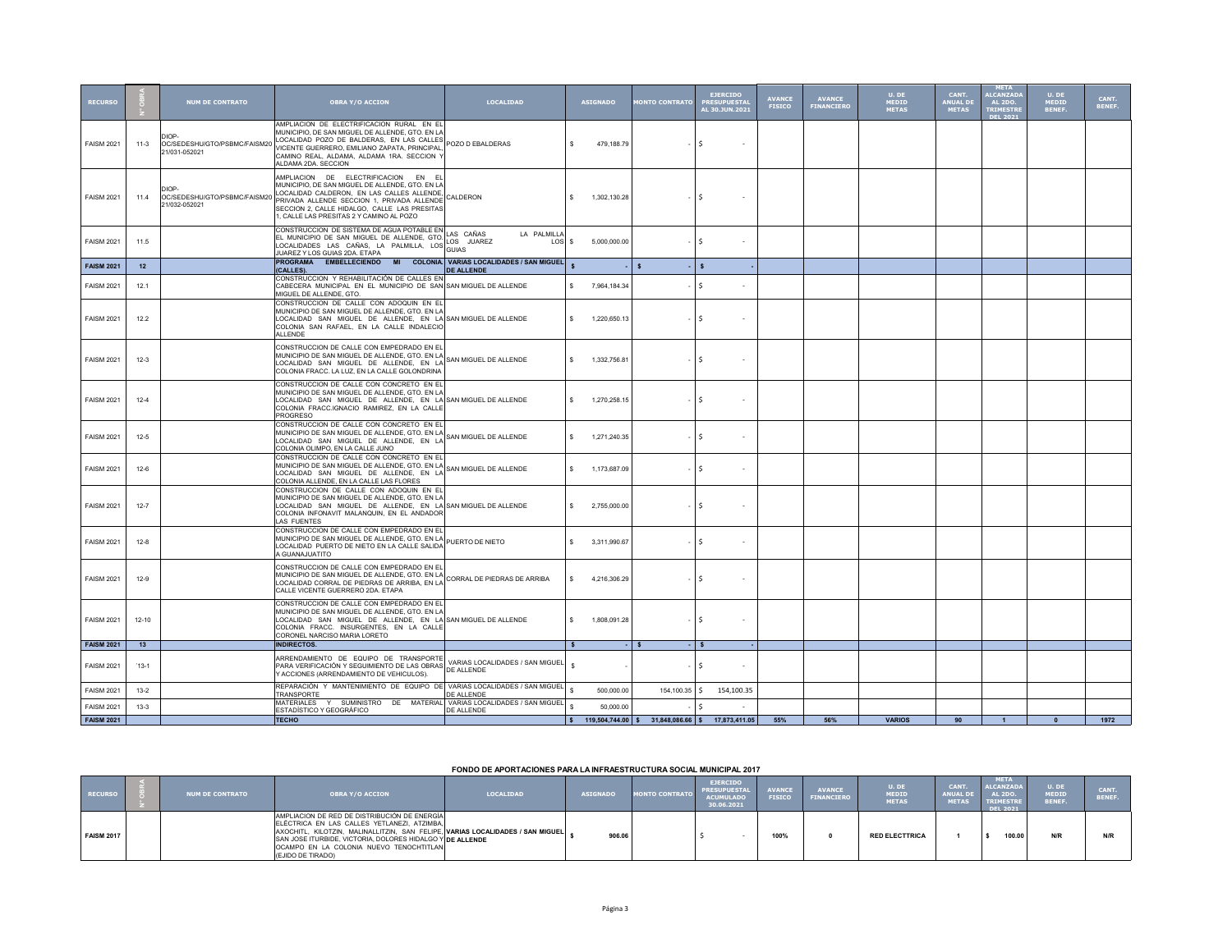| <b>RECURSO</b>    |          | <b>NUM DE CONTRATO</b>                                 | <b>OBRA Y/O ACCION</b>                                                                                                                                                                                                                                                         | <b>LOCALIDAD</b>                |                    | <b>ASIGNADO</b> | <b>IONTO CONTRATO</b>                            | <b>EJERCIDO</b><br><b>PRESUPUESTA</b><br>AL 30.JUN.2021 | <b>AVANCE</b><br><b>FISICO</b> | <b>AVANCE</b><br><b>FINANCIERO</b> | U. DE<br><b>MEDID</b><br><b>METAS</b> | CANT.<br><b>ANUAL DE</b><br><b>METAS</b> | <b>META</b><br><b>ALCANZAD</b><br><b>AL 2DO.</b><br><b>TRIMESTR</b> | U. DE<br>MEDID<br>BENEF. | CANT.<br>BENEF. |
|-------------------|----------|--------------------------------------------------------|--------------------------------------------------------------------------------------------------------------------------------------------------------------------------------------------------------------------------------------------------------------------------------|---------------------------------|--------------------|-----------------|--------------------------------------------------|---------------------------------------------------------|--------------------------------|------------------------------------|---------------------------------------|------------------------------------------|---------------------------------------------------------------------|--------------------------|-----------------|
| <b>FAISM 2021</b> | 11-3     | OC/SEDESHU/GTO/PSBMC/FAISM20<br>21/031-052021          | AMPLIACION DE ELECTRIFICACION RURAL EN EL<br>MUNICIPIO, DE SAN MIGUEL DE ALLENDE, GTO. EN LA<br>LOCALIDAD POZO DE BALDERAS, EN LAS CALLES<br>VICENTE GUERRERO, EMILIANO ZAPATA, PRINCIPAL,<br>CAMINO REAL, ALDAMA, ALDAMA 1RA, SECCION Y<br>ALDAMA 2DA. SECCION                | POZO D EBALDERAS                | s                  | 479,188.79      |                                                  | -S                                                      |                                |                                    |                                       |                                          |                                                                     |                          |                 |
| <b>FAISM 2021</b> | 11.4     | DIOP-<br>OC/SEDESHU/GTO/PSBMC/FAISM20<br>21/032-052021 | AMPLIACION DE ELECTRIFICACION EN EL<br>MUNICIPIO, DE SAN MIGUEL DE ALLENDE, GTO. EN LA<br>LOCALIDAD CALDERON, EN LAS CALLES ALLENDE,<br>PRIVADA ALLENDE SECCION 1, PRIVADA ALLENDE<br>SECCION 2, CALLE HIDALGO, CALLE LAS PRESITAS<br>1, CALLE LAS PRESITAS 2 Y CAMINO AL POZO | CALDERON                        | s.                 | 1,302,130.28    |                                                  | -S                                                      |                                |                                    |                                       |                                          |                                                                     |                          |                 |
| <b>FAISM 2021</b> | 11.5     |                                                        | CONSTRUCCION DE SISTEMA DE AGUA POTABLE EN<br>CONSTRUCCION DE SISTEMA DE AGUA POTABLE EN LAS CAÑAS<br>EL MUNICIPIO DE SAN MIGUEL DE ALLENDE, GTO. LOS JUAREZ<br>LOCALIDADES LAS CAÑAS, LA PALMILLA, LOS GUIAS<br>JUAREZ Y LOS GUIAS 2DA. ETAPA                                 | LA PALMILLA<br>$\text{LOS}$ s   |                    | 5.000.000.00    |                                                  | -S                                                      |                                |                                    |                                       |                                          |                                                                     |                          |                 |
| <b>FAISM 2021</b> | 12       |                                                        | PROGRAMA EMBELLECIENDO MI COLONIA. VARIAS LOCALIDADES / SAN MIGUEL<br>(CALLES).                                                                                                                                                                                                | <b>DE ALLENDE</b>               | $\mathbf{s}$       |                 | $\mathbf{s}$                                     | $\mathbf{s}$                                            |                                |                                    |                                       |                                          |                                                                     |                          |                 |
| <b>FAISM 2021</b> | 12.1     |                                                        | CONSTRUCCION Y REHABILITACIÓN DE CALLES EN<br>CABECERA MUNICIPAL EN EL MUNICIPIO DE SAN SAN MIGUEL DE ALLENDE<br>MIGUEL DE ALLENDE, GTO.                                                                                                                                       |                                 | s.                 | 7,964,184.34    |                                                  | -Ś                                                      |                                |                                    |                                       |                                          |                                                                     |                          |                 |
| <b>FAISM 2021</b> | 12.2     |                                                        | CONSTRUCCION DE CALLE CON ADOQUIN EN EL<br>MUNICIPIO DE SAN MIGUEL DE ALLENDE, GTO. EN LA<br>LOCALIDAD SAN MIGUEL DE ALLENDE. EN LA SAN MIGUEL DE ALLENDE<br>COLONIA SAN RAFAEL, EN LA CALLE INDALECIO<br>ALL ENDE                                                             |                                 | $\mathbb{S}$       | 1.220.650.13    |                                                  | Ŝ.                                                      |                                |                                    |                                       |                                          |                                                                     |                          |                 |
| <b>FAISM 2021</b> | $12-3$   |                                                        | CONSTRUCCION DE CALLE CON EMPEDRADO EN EL<br>MUNICIPIO DE SAN MIGUEL DE ALLENDE, GTO. EN LA<br>LOCALIDAD SAN MIGUEL DE ALLENDE, EN LA SAN MIGUEL DE ALLENDE<br>COLONIA FRACC. LA LUZ, EN LA CALLE GOLONDRINA                                                                   |                                 | $\mathbf{s}$       | 1.332.756.81    |                                                  | $\dot{\mathbf{S}}$                                      |                                |                                    |                                       |                                          |                                                                     |                          |                 |
| <b>FAISM 2021</b> | $12-4$   |                                                        | CONSTRUCCION DE CALLE CON CONCRETO EN EL<br>MUNICIPIO DE SAN MIGUEL DE ALLENDE, GTO. EN LA<br>LOCALIDAD SAN MIGUEL DE ALLENDE, EN LA SANMIGUEL DE ALLENDE<br>COLONIA FRACC.IGNACIO RAMIREZ, EN LA CALLE<br>PROGRESO                                                            |                                 | s.                 | 1,270,258.15    |                                                  | -S                                                      |                                |                                    |                                       |                                          |                                                                     |                          |                 |
| <b>FAISM 2021</b> | $12-5$   |                                                        | CONSTRUCCION DE CALLE CON CONCRETO EN EL<br>MUNICIPIO DE SAN MIGUEL DE ALLENDE, GTO. EN LA SAN MIGUEL DE ALLENDE<br>COLONIA OLIMPO, EN LA CALLE JUNO                                                                                                                           |                                 | $\mathbf{s}$       | 1,271,240.35    |                                                  | Ŝ.                                                      |                                |                                    |                                       |                                          |                                                                     |                          |                 |
| <b>FAISM 2021</b> | $12-6$   |                                                        | CONSTRUCCION DE CALLE CON CONCRETO EN EL<br>MUNICIPIO DE SAN MIGUEL DE ALLENDE, GTO. EN LA SAN MIGUEL DE ALLENDE<br>LOCALIDAD SAN MIGUEL DE ALLENDE, EN LA<br>COLONIA ALLENDE, EN LA CALLE LAS FLORES                                                                          |                                 | s.                 | 1,173,687.09    |                                                  | -S                                                      |                                |                                    |                                       |                                          |                                                                     |                          |                 |
| <b>FAISM 2021</b> | $12 - 7$ |                                                        | CONSTRUCCION DE CALLE CON ADOQUIN EN EL<br>MUNICIPIO DE SAN MIGUEL DE ALLENDE, GTO. EN LA<br>LOCALIDAD SAN MIGUEL DE ALLENDE, EN LA SAN MIGUEL DE ALLENDE<br>COLONIA INFONAVIT MALANQUIN, EN EL ANDADOR<br>LAS FUENTES                                                         |                                 | s.                 | 2,755,000.00    |                                                  | -Ś                                                      |                                |                                    |                                       |                                          |                                                                     |                          |                 |
| <b>FAISM 2021</b> | $12 - 8$ |                                                        | CONSTRUCCION DE CALLE CON EMPEDRADO EN EL<br>MUNICIPIO DE SAN MIGUEL DE ALLEME, GTO. EN LA PUERTO DE NIETO<br>LOCALIDAD PUERTO DE NIETO EN LA CALLE SALIDA<br>A GUANAJUATITO                                                                                                   |                                 | s.                 | 3,311,990.67    |                                                  | -\$                                                     |                                |                                    |                                       |                                          |                                                                     |                          |                 |
| <b>FAISM 2021</b> | $12-9$   |                                                        | CONSTRUCCION DE CALLE CON EMPEDRADO EN EL<br>MUNICIPIO DE SAN MIGUEL DE ALLENDE, GTO. EN LA CORRAL DE PIEDRAS DE ARRIBA<br>LOCALIDAD CORRAL DE PIEDRAS DE ARRIBA, EN LA CORRAL DE PIEDRAS DE ARRIBA<br>CALLE VICENTE GUERRERO 2DA. ETAPA                                       |                                 | \$                 | 4,216,306.29    |                                                  | -Ś                                                      |                                |                                    |                                       |                                          |                                                                     |                          |                 |
| <b>FAISM 2021</b> | 12-10    |                                                        | CONSTRUCCION DE CALLE CON EMPEDRADO EN EL<br>MUNICIPIO DE SAN MIGUEL DE ALLENDE, GTO. EN LA<br>LOCALIDAD SAN MIGUEL DE ALLENDE, EN LA SAN MIGUEL DE ALLENDE<br>COLONIA FRACC. INSURGENTES, EN LA CALLE<br>CORONEL NARCISO MARIA LORETO                                         |                                 | $\hat{\mathbf{z}}$ | 1.808.091.28    |                                                  | -\$                                                     |                                |                                    |                                       |                                          |                                                                     |                          |                 |
| <b>FAISM 2021</b> | 13       |                                                        | INDIRECTOS.                                                                                                                                                                                                                                                                    |                                 |                    |                 |                                                  |                                                         |                                |                                    |                                       |                                          |                                                                     |                          |                 |
| <b>FAISM 2021</b> | $13-1$   |                                                        | ARRENDAMIENTO DE EQUIPO DE TRANSPORTE<br><b>ARKENDAMIENTO DE EQUITO DE MESSO DE ARKIAS LUGARENTE DE ANAGEMENTO DE ALLENDE</b><br>Y ACCIONES (ARRENDAMIENTO DE VEHICULOS).                                                                                                      | VARIAS LOCALIDADES / SAN MIGUEL |                    |                 |                                                  | -\$                                                     |                                |                                    |                                       |                                          |                                                                     |                          |                 |
| <b>FAISM 2021</b> | $13 - 2$ |                                                        | REPARACIÓN Y MANTENIMIENTO DE EQUIPO DE VARIAS LOCALIDADES / SAN MIGUEL<br>TRANSPORTE                                                                                                                                                                                          | DE ALLENDE                      |                    | 500,000.00      | 154,100.35                                       | I\$<br>154,100.35                                       |                                |                                    |                                       |                                          |                                                                     |                          |                 |
| <b>FAISM 2021</b> | $13-3$   |                                                        | MATERIALES Y SUMINISTRO DE MATERIAL VARIAS LOCALIDADES / SAN MIGUEL<br>ESTADÍSTICO Y GEOGRÁFICO                                                                                                                                                                                | DE ALLENDE                      | s                  | 50,000,00       |                                                  |                                                         |                                |                                    |                                       |                                          |                                                                     |                          |                 |
| <b>FAISM 2021</b> |          |                                                        | <b>TECHO</b>                                                                                                                                                                                                                                                                   |                                 | S                  |                 | 119,504,744.00 \$ 31,848,086.66 \$ 17,873,411.05 |                                                         | 55%                            | 56%                                | <b>VARIOS</b>                         | 90                                       |                                                                     | $\mathbf{a}$             | 1972            |

**FONDO DE APORTACIONES PARA LA INFRAESTRUCTURA SOCIAL MUNICIPAL 2017**

| <b>RECURSO</b>    | <b>NUM DE CONTRATO</b> | <b>OBRA Y/O ACCION</b>                                                                                                                                                                                                                                                                                       | <b>LOCALIDAD</b> | <b>ASIGNADO</b> | <b>MONTO CONTRATO</b> | <b>EJERCIDO</b><br><b>PRESUPUESTAL</b><br><b>ACUMULADO</b><br>30.06.2021 | <b>AVANCE</b><br><b>FISICO</b> | <b>AVANCE</b><br><b>FINANCIERO</b> | U. DE<br>MEDID<br><b>METAS</b> | <b>CANT</b><br>ANUAL D<br><b>HETAS</b> | <b>AETA</b><br>ALCANZADA<br><b>AL 2DO.</b><br><b>TRIMESTRE</b><br>DEL 2021 | U. DE<br><b>IEDID</b><br>BENEF. | CANT.<br>BENEF. |
|-------------------|------------------------|--------------------------------------------------------------------------------------------------------------------------------------------------------------------------------------------------------------------------------------------------------------------------------------------------------------|------------------|-----------------|-----------------------|--------------------------------------------------------------------------|--------------------------------|------------------------------------|--------------------------------|----------------------------------------|----------------------------------------------------------------------------|---------------------------------|-----------------|
| <b>FAISM 2017</b> |                        | AMPLIACION DE RED DE DISTRIBUCIÓN DE ENERGÍA<br>ELÉCTRICA EN LAS CALLES YETLANEZI, ATZIMBA.<br>AXOCHITL, KILOTZIN, MALINALLITZIN, SAN FELIPE, VARIAS LOCALIDADES / SAN MIGUEL ,<br>SAN JOSE ITURBIDE, VICTORIA, DOLORES HIDALGO Y DE ALLENDE<br>OCAMPO EN LA COLONIA NUEVO TENOCHTITLAN<br>(EJIDO DE TIRADO) |                  | 906.06          |                       |                                                                          | 100%                           |                                    | <b>RED ELECTTRICA</b>          |                                        | 100.00                                                                     | N/R                             |                 |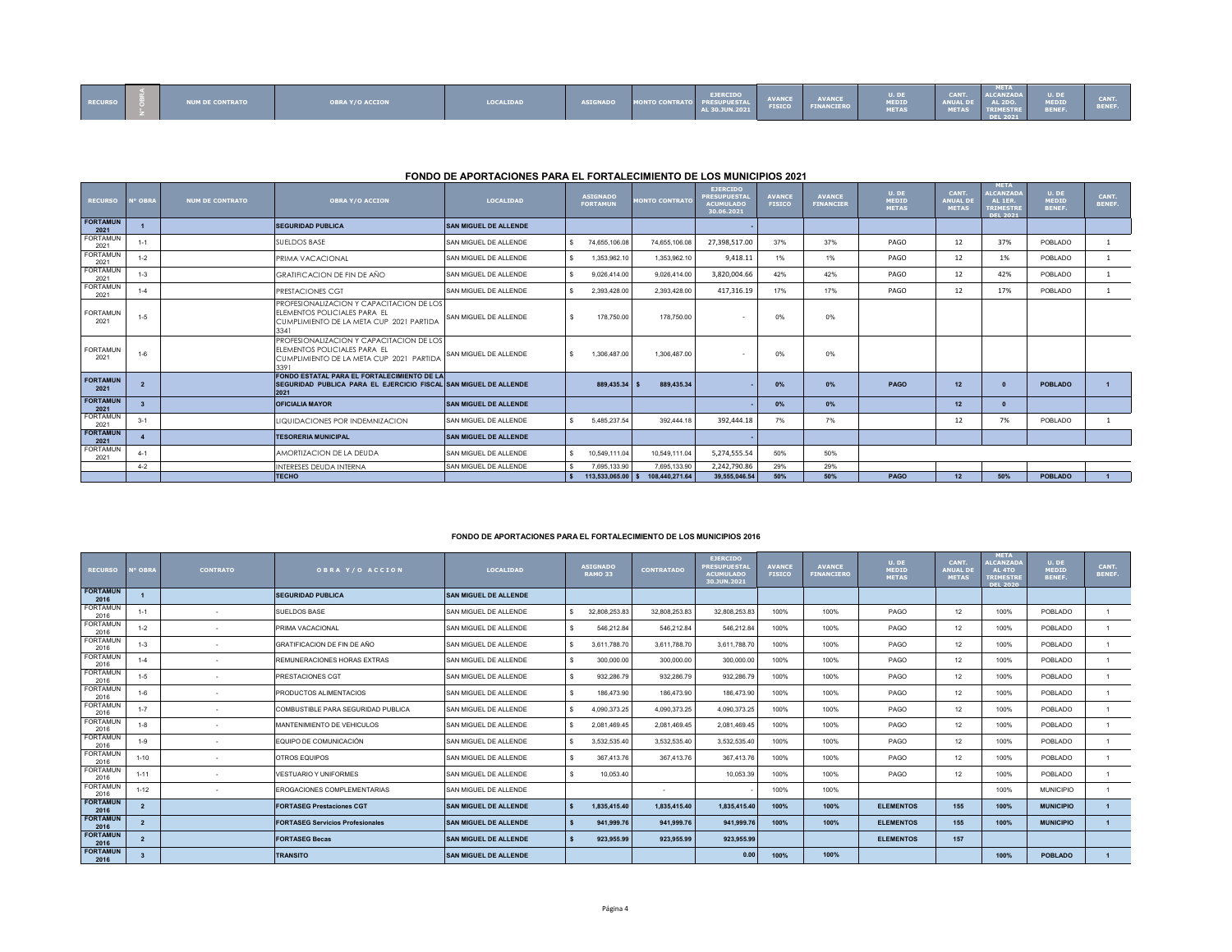| <b>RECURSO</b> |  | <b>NUM DE CONTRATO</b> | <b>OBRA Y/O ACCION</b> | LOCALIDAD | <b>ASIGNADO</b> | MONTO CONTRATO PRESUPUESTAL | <b>EJERCIDO</b> | <b>AVANCE<br/>FISICO</b> | AVANCE<br>FINANCIERO | U. DE<br>MEDID<br>METAS | CANT.<br>ANUAL DE AL 2DO.<br><b>METAS</b> | <b>META</b><br>ALCANZADA<br>NI TR.<br>$R = 2021$ | U. DE<br>MEDID<br>89N 86 | <b>CANT</b><br><b>BENEF.</b> |
|----------------|--|------------------------|------------------------|-----------|-----------------|-----------------------------|-----------------|--------------------------|----------------------|-------------------------|-------------------------------------------|--------------------------------------------------|--------------------------|------------------------------|
|----------------|--|------------------------|------------------------|-----------|-----------------|-----------------------------|-----------------|--------------------------|----------------------|-------------------------|-------------------------------------------|--------------------------------------------------|--------------------------|------------------------------|

## **FONDO DE APORTACIONES PARA EL FORTALECIMIENTO DE LOS MUNICIPIOS 2021**

| <b>RECURSO</b>          | N° OBRA | <b>NUM DE CONTRATO</b> | <b>OBRA Y/O ACCION</b>                                                                                                       | <b>LOCALIDAD</b>             |    | <b>ASIGNADO</b><br><b>FORTAMUN</b> | <b>MONTO CONTRATO</b> | <b>EJERCIDO</b><br><b>PRESUPUESTA</b><br><b>ACUMULADO</b><br>30.06.2021 | <b>AVANCE</b><br><b>FISICO</b> | <b>AVANCE</b><br><b>FINANCIER</b> | U. DE<br><b>MEDID</b><br><b>METAS</b> | CANT.<br><b>ANUAL DI</b><br><b>METAS</b> | <b>META</b><br><b>ALCANZAD</b><br>AL 1ER.<br><b>TRIMESTRI</b><br>DEL 2021 | U. DE<br>MEDID<br>BENEF. | CANT.<br>BENEF. |
|-------------------------|---------|------------------------|------------------------------------------------------------------------------------------------------------------------------|------------------------------|----|------------------------------------|-----------------------|-------------------------------------------------------------------------|--------------------------------|-----------------------------------|---------------------------------------|------------------------------------------|---------------------------------------------------------------------------|--------------------------|-----------------|
| <b>FORTAMUN</b><br>2021 |         |                        | <b>SEGURIDAD PUBLICA</b>                                                                                                     | <b>SAN MIGUEL DE ALLENDE</b> |    |                                    |                       |                                                                         |                                |                                   |                                       |                                          |                                                                           |                          |                 |
| <b>FORTAMUN</b><br>2021 | $1 - 1$ |                        | SUELDOS BASE                                                                                                                 | SAN MIGUEL DE ALLENDE        | s. | 74.655.106.08                      | 74.655.106.08         | 27,398,517.00                                                           | 37%                            | 37%                               | PAGO                                  | 12                                       | 37%                                                                       | POBLADO                  |                 |
| <b>FORTAMUN</b><br>2021 | $1 - 2$ |                        | PRIMA VACACIONAL                                                                                                             | SAN MIGUEL DE ALLENDE        | s. | 1,353,962.10                       | 1,353,962.10          | 9,418.11                                                                | 1%                             | 1%                                | PAGO                                  | 12                                       | 1%                                                                        | POBLADO                  |                 |
| <b>FORTAMUN</b><br>2021 | $1 - 3$ |                        | <b>GRATIFICACION DE FIN DE AÑO</b>                                                                                           | SAN MIGUEL DE ALLENDE        |    | 9.026.414.00                       | 9,026,414.00          | 3,820,004.66                                                            | 42%                            | 42%                               | PAGO                                  | 12                                       | 42%                                                                       | POBLADO                  |                 |
| <b>FORTAMUN</b><br>2021 | $1 - 4$ |                        | PRESTACIONES CGT                                                                                                             | SAN MIGUEL DE ALLENDE        |    | 2,393,428.00                       | 2,393,428.00          | 417,316.19                                                              | 17%                            | 17%                               | PAGO                                  | 12                                       | 17%                                                                       | POBLADO                  |                 |
| <b>FORTAMUN</b><br>2021 | $1 - 5$ |                        | PROFESIONALIZACION Y CAPACITACION DE LOS<br>ELEMENTOS POLICIALES PARA EL<br>CUMPLIMIENTO DE LA META CUP 2021 PARTIDA<br>3341 | SAN MIGUEL DE ALLENDE        | s  | 178,750.00                         | 178,750.00            |                                                                         | 0%                             | 0%                                |                                       |                                          |                                                                           |                          |                 |
| <b>FORTAMUN</b><br>2021 | $1 - 6$ |                        | PROFESIONALIZACION Y CAPACITACION DE LOS<br>ELEMENTOS POLICIALES PARA EL<br>CUMPLIMIENTO DE LA META CUP 2021 PARTIDA<br>3391 | SAN MIGUEL DE ALLENDE        | s. | 1.306.487.00                       | 1.306.487.00          |                                                                         | 0%                             | 0%                                |                                       |                                          |                                                                           |                          |                 |
| <b>FORTAMUN</b><br>2021 |         |                        | FONDO ESTATAL PARA EL FORTALECIMIENTO DE LA<br>SEGURIDAD PUBLICA PARA EL EJERCICIO FISCAL SAN MIGUEL DE ALLENDE<br>2021      |                              |    | 889,435.34                         | 889,435.34            |                                                                         | 0%                             | $0\%$                             | PAGO                                  | 12                                       |                                                                           | <b>POBLADO</b>           |                 |
| <b>FORTAMUN</b><br>2021 |         |                        | <b>OFICIALIA MAYOR</b>                                                                                                       | <b>SAN MIGUEL DE ALLENDE</b> |    |                                    |                       |                                                                         | 0%                             | $0\%$                             |                                       | 12                                       |                                                                           |                          |                 |
| <b>FORTAMUN</b><br>2021 | $3 - 1$ |                        | LIQUIDACIONES POR INDEMNIZACION                                                                                              | SAN MIGUEL DE ALLENDE        |    | 5.485.237.54                       | 392.444.18            | 392,444.18                                                              | 7%                             | 7%                                |                                       | 12                                       | 7%                                                                        | POBLADO                  |                 |
| <b>FORTAMUN</b><br>2021 |         |                        | <b>TESORERIA MUNICIPAL</b>                                                                                                   | <b>SAN MIGUEL DE ALLENDE</b> |    |                                    |                       |                                                                         |                                |                                   |                                       |                                          |                                                                           |                          |                 |
| <b>FORTAMUN</b><br>2021 | $4 - 1$ |                        | AMORTIZACION DE LA DEUDA                                                                                                     | SAN MIGUEL DE ALLENDE        | s. | 10.549.111.04                      | 10.549.111.04         | 5,274,555.54                                                            | 50%                            | 50%                               |                                       |                                          |                                                                           |                          |                 |
|                         | $4 - 2$ |                        | INTERESES DEUDA INTERNA                                                                                                      | SAN MIGUEL DE ALLENDE        |    | 7.695.133.90                       | 7.695.133.90          | 2,242,790.86                                                            | 29%                            | 29%                               |                                       |                                          |                                                                           |                          |                 |
|                         |         |                        | <b>TECHO</b>                                                                                                                 |                              |    | 113,533,065.00                     | 108,440,271.64        | 39.555.046.54                                                           | 50%                            | 50%                               | PAGO                                  | 12                                       | 50%                                                                       | <b>POBLADO</b>           |                 |

## **FONDO DE APORTACIONES PARA EL FORTALECIMIENTO DE LOS MUNICIPIOS 2016**

| <b>RECURSO</b>          | <b>N° OBRA</b> | <b>CONTRATO</b> | OBRA Y/O ACCION                         | <b>LOCALIDAD</b>             | <b>ASIGNADO</b><br><b>RAMO 33</b> | <b>CONTRATADO</b> | <b>EJERCIDO</b><br><b>PRESUPUESTA</b><br><b>ACUMULADO</b><br>30.JUN.2021 | <b>AVANCE</b><br><b>FISICO</b> | <b>AVANCE</b><br><b>FINANCIERO</b> | U. DE<br>MEDID<br><b>METAS</b> | CANT.<br><b>ANUAL DE</b><br><b>METAS</b> | <b>META</b><br><b>LCANZAD</b><br>AL 4TO<br><b>TRIMESTRE</b><br><b>DEL 2020</b> | U. DE<br><b>MEDID</b><br>BENEF. | CANT.<br>BENEF. |
|-------------------------|----------------|-----------------|-----------------------------------------|------------------------------|-----------------------------------|-------------------|--------------------------------------------------------------------------|--------------------------------|------------------------------------|--------------------------------|------------------------------------------|--------------------------------------------------------------------------------|---------------------------------|-----------------|
| <b>FORTAMUN</b><br>2016 |                |                 | <b>SEGURIDAD PUBLICA</b>                | <b>SAN MIGUEL DE ALLENDE</b> |                                   |                   |                                                                          |                                |                                    |                                |                                          |                                                                                |                                 |                 |
| <b>FORTAMUN</b><br>2016 | $1 - 1$        |                 | SUELDOS BASE                            | SAN MIGUEL DE ALLENDE        | 32.808.253.83<br>s.               | 32.808.253.83     | 32.808.253.83                                                            | 100%                           | 100%                               | PAGO                           | 12                                       | 100%                                                                           | POBLADO                         |                 |
| <b>FORTAMUN</b><br>2016 | $1 - 2$        |                 | PRIMA VACACIONAL                        | SAN MIGUEL DE ALLENDE        | 546.212.84<br>s.                  | 546.212.84        | 546.212.84                                                               | 100%                           | 100%                               | PAGO                           | 12                                       | 100%                                                                           | POBLADO                         |                 |
| <b>FORTAMUN</b><br>2016 | $1 - 3$        |                 | GRATIFICACION DE FIN DE AÑO             | SAN MIGUEL DE ALLENDE        | 3,611,788.70<br>s.                | 3,611,788.70      | 3.611.788.70                                                             | 100%                           | 100%                               | PAGO                           | 12                                       | 100%                                                                           | POBLADO                         |                 |
| <b>FORTAMUN</b><br>2016 | $1 - 4$        |                 | REMUNERACIONES HORAS EXTRAS             | SAN MIGUEL DE ALLENDE        | 300.000.00<br>s                   | 300,000.00        | 300,000.00                                                               | 100%                           | 100%                               | PAGO                           | 12                                       | 100%                                                                           | POBLADO                         |                 |
| <b>FORTAMUN</b><br>2016 | $1 - 5$        |                 | PRESTACIONES CGT                        | SAN MIGUEL DE ALLENDE        | 932,286.79                        | 932,286.79        | 932.286.79                                                               | 100%                           | 100%                               | PAGO                           | 12                                       | 100%                                                                           | POBLADO                         |                 |
| <b>FORTAMUN</b><br>2016 | $1 - 6$        |                 | <b>PRODUCTOS ALIMENTACIOS</b>           | SAN MIGUEL DE ALLENDE        | 186,473.90<br>s.                  | 186,473.90        | 186,473.90                                                               | 100%                           | 100%                               | PAGO                           | 12                                       | 100%                                                                           | POBLADO                         |                 |
| <b>FORTAMUN</b><br>2016 | $1 - 7$        |                 | COMBUSTIBLE PARA SEGURIDAD PUBLICA      | SAN MIGUEL DE ALLENDE        | 4,090,373.25<br>s.                | 4,090,373.25      | 4,090,373.25                                                             | 100%                           | 100%                               | PAGO                           | 12                                       | 100%                                                                           | POBLADO                         |                 |
| <b>FORTAMUN</b><br>2016 | $1-8$          | $\sim$          | MANTENIMIENTO DE VEHICULOS              | SAN MIGUEL DE ALLENDE        | s.<br>2.081.469.45                | 2.081.469.45      | 2.081.469.45                                                             | 100%                           | 100%                               | PAGO                           | 12                                       | 100%                                                                           | POBLADO                         |                 |
| <b>FORTAMUN</b><br>2016 | $1-9$          |                 | EQUIPO DE COMUNICACIÓN                  | SAN MIGUEL DE ALLENDE        | 3,532,535.40<br>s.                | 3,532,535.40      | 3,532,535.40                                                             | 100%                           | 100%                               | PAGO                           | 12                                       | 100%                                                                           | POBLADO                         |                 |
| <b>FORTAMUN</b><br>2016 | $1 - 10$       |                 | OTROS EQUIPOS                           | SAN MIGUEL DE ALLENDE        | 367,413.76<br>s                   | 367,413.76        | 367,413.76                                                               | 100%                           | 100%                               | PAGO                           | 12                                       | 100%                                                                           | POBLADO                         |                 |
| <b>FORTAMUN</b><br>2016 | $1 - 11$       |                 | <b>VESTUARIO Y UNIFORMES</b>            | SAN MIGUEL DE ALLENDE        | 10,053.40<br>s                    |                   | 10.053.39                                                                | 100%                           | 100%                               | PAGO                           | 12                                       | 100%                                                                           | POBLADO                         |                 |
| <b>FORTAMUN</b><br>2016 | $1 - 12$       |                 | <b>EROGACIONES COMPLEMENTARIAS</b>      | SAN MIGUEL DE ALLENDE        |                                   | $\sim$            |                                                                          | 100%                           | 100%                               |                                |                                          | 100%                                                                           | <b>MUNICIPIO</b>                |                 |
| <b>FORTAMUN</b><br>2016 | $\overline{2}$ |                 | <b>FORTASEG Prestaciones CGT</b>        | <b>SAN MIGUEL DE ALLENDE</b> | 1,835,415.40                      | 1,835,415.40      | 1,835,415.40                                                             | 100%                           | 100%                               | <b>ELEMENTOS</b>               | 155                                      | 100%                                                                           | <b>MUNICIPIO</b>                |                 |
| <b>FORTAMUN</b><br>2016 |                |                 | <b>FORTASEG Servicios Profesionales</b> | <b>SAN MIGUEL DE ALLENDE</b> | 941.999.76                        | 941.999.76        | 941.999.76                                                               | 100%                           | 100%                               | <b>ELEMENTOS</b>               | 155                                      | 100%                                                                           | <b>MUNICIPIO</b>                |                 |
| <b>FORTAMUN</b><br>2016 |                |                 | <b>FORTASEG Becas</b>                   | <b>SAN MIGUEL DE ALLENDE</b> | 923.955.99                        | 923.955.99        | 923,955.99                                                               |                                |                                    | <b>ELEMENTOS</b>               | 157                                      |                                                                                |                                 |                 |
| <b>FORTAMUN</b><br>2016 |                |                 | <b>TRANSITO</b>                         | <b>SAN MIGUEL DE ALLENDE</b> |                                   |                   | 0.00                                                                     | 100%                           | 100%                               |                                |                                          | 100%                                                                           | <b>POBLADO</b>                  |                 |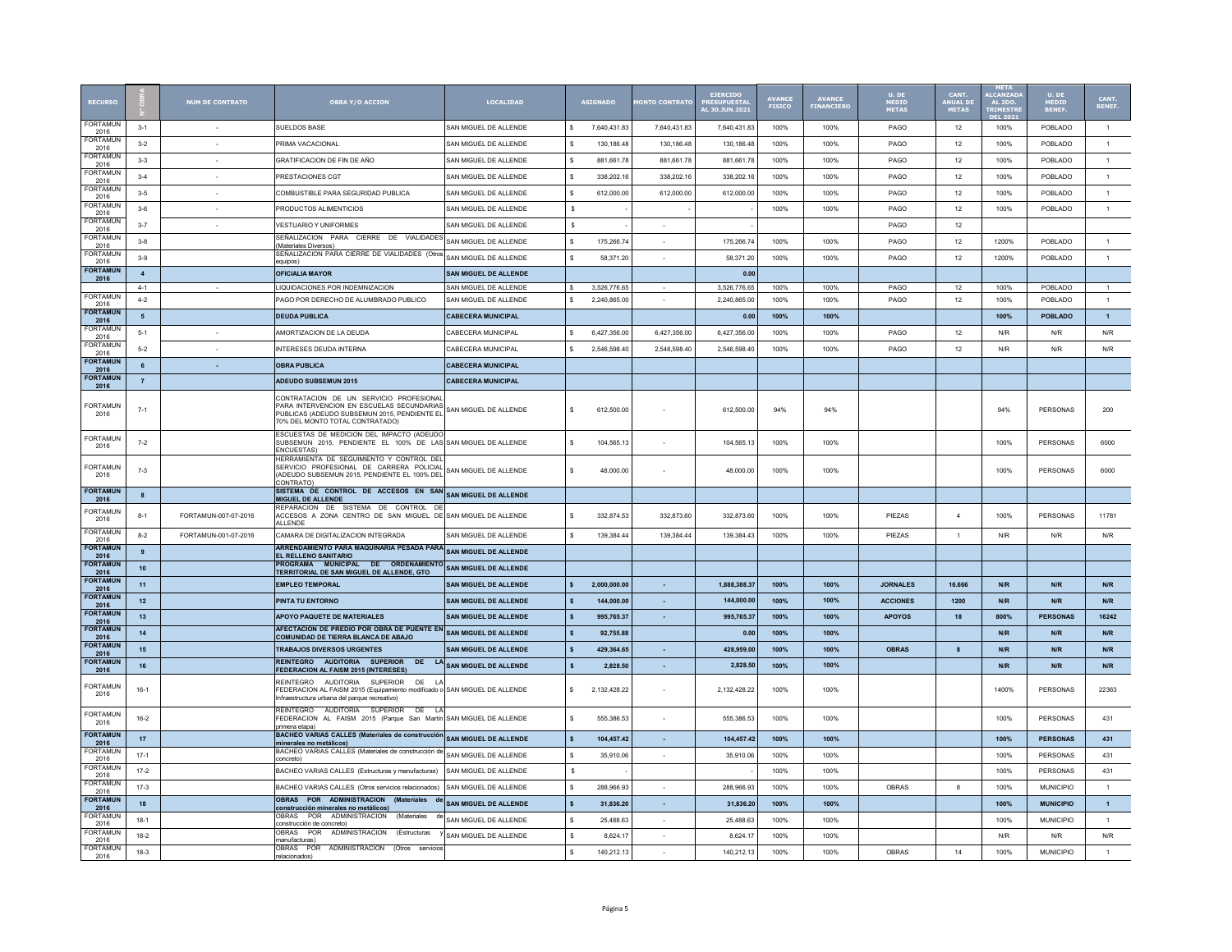| <b>RECURS</b>            |                  | <b>NUM DE CONTRATO</b> | <b>OBRA Y/O ACCION</b>                                                                                                                                                                                  | <b>LOCALIDAD</b>                      | <b>ASIGNADO</b>              | <b>ONTO CONTRAT</b>      | <b>EJERCIDO</b><br>PRESUPUESTAL<br>AL 30.JUN.2021 | <b>AVANCE</b><br>FISICO | <b>AVANCE</b><br>FINANCIER | $U.$ DE<br>MEDID<br><b>METAS</b> | CANT.<br><b>INUAL D</b><br>METAS | <b>LCANZAI</b><br><b>AL 2DO.</b><br><b>RIMESTE</b> | U. DE<br><b>MEDIO</b><br><b>BENEF</b> | CANT.<br>BENEF |
|--------------------------|------------------|------------------------|---------------------------------------------------------------------------------------------------------------------------------------------------------------------------------------------------------|---------------------------------------|------------------------------|--------------------------|---------------------------------------------------|-------------------------|----------------------------|----------------------------------|----------------------------------|----------------------------------------------------|---------------------------------------|----------------|
| <b>FORTAMUN</b><br>2016  | $3-1$            |                        | SUELDOS BASE                                                                                                                                                                                            | SAN MIGUEL DE ALLENDE                 | 7,640,431.83                 | 7,640,431.83             | 7,640,431.83                                      | 100%                    | 100%                       | PAGO                             | 12                               | 100%                                               | POBLADO                               | $\overline{1}$ |
| FORTAMUN<br>2016         | $3-2$            | $\sim$                 | PRIMA VACACIONAL                                                                                                                                                                                        | SAN MIGUEL DE ALLENDE                 | 130 186 48<br>s              | 130 186 48               | 130 186 48                                        | 100%                    | 100%                       | PAGO                             | 12                               | 100%                                               | POBLADO                               | $\overline{1}$ |
| FORTAMUN<br>2016         | $3-3$            | $\sim$                 | GRATIFICACION DE FIN DE AÑO                                                                                                                                                                             | SAN MIGUEL DE ALLENDE                 | s<br>881 661 78              | 881 661 78               | 881 661 78                                        | 100%                    | 100%                       | PAGO                             | 12                               | 100%                                               | POBLADO                               | 1              |
| <b>FORTAMUN</b><br>2016  | $3 - 4$          |                        | PRESTACIONES CGT                                                                                                                                                                                        | SAN MIGUEL DE ALLENDE                 | s<br>338,202.16              | 338,202.16               | 338,202.16                                        | 100%                    | 100%                       | PAGO                             | 12                               | 100%                                               | POBLADO                               | $\mathbf{1}$   |
| <b>FORTAMUN</b><br>2016  | $3 - 5$          | $\sim$                 | COMBUSTIBLE PARA SEGURIDAD PUBLICA                                                                                                                                                                      | SAN MIGUEL DE ALLENDE                 | 612.000.00                   | 612.000.00               | 612.000.00                                        | 100%                    | 100%                       | PAGO                             | 12                               | 100%                                               | POBLADO                               | $\mathbf{1}$   |
| FORTAMUN<br>2016         | $3-6$            | $\sim$                 | PRODUCTOS ALIMENTICIOS                                                                                                                                                                                  | SAN MIGUEL DE ALLENDE                 | $\mathbf{s}$                 |                          |                                                   | 100%                    | 100%                       | PAGO                             | 12                               | 100%                                               | POBLADO                               | $\mathbf{1}$   |
| <b>FORTAMUN</b><br>2016  | $3 - 7$          | $\sim$                 | <b>VESTUARIO Y UNIFORMES</b>                                                                                                                                                                            | SAN MIGUEL DE ALLENDE                 | $\mathbf{s}$                 | $\sim$                   |                                                   |                         |                            | PAGO                             | 12                               |                                                    |                                       |                |
| <b>FORTAMUN</b><br>2016  | $3 - 8$          |                        | SEÑALIZACION PARA CIERRE DE VIALIDADES<br>(Materiales Diversos)                                                                                                                                         | SAN MIGUEL DE ALLENDE                 | s<br>175,266.74              |                          | 175,266.74                                        | 100%                    | 100%                       | PAGO                             | 12                               | 1200%                                              | POBLADO                               | $\overline{1}$ |
| <b>FORTAMUN</b><br>2016  | $3-9$            |                        | SEÑALIZACION PARA CIERRE DE VIALIDADES (Otros<br>equipos)                                                                                                                                               | SAN MIGUEL DE ALLENDE                 | 58,371.20                    |                          | 58,371.20                                         | 100%                    | 100%                       | PAGO                             | 12                               | 1200%                                              | POBLADO                               | $\overline{1}$ |
| <b>FORTAMUN</b>          | $\overline{4}$   |                        | OFICIALIA MAYOR                                                                                                                                                                                         | SAN MIGUEL DE ALLENDE                 |                              |                          | 0.00                                              |                         |                            |                                  |                                  |                                                    |                                       |                |
| 2016                     | $4 - 1$          |                        | LIQUIDACIONES POR INDEMNIZACION                                                                                                                                                                         | SAN MIGUEL DE ALLENDE                 | 3,526,776.65<br>s            |                          | 3,526,776.65                                      | 100%                    | 100%                       | PAGO                             | 12                               | 100%                                               | POBLADO                               | $\overline{1}$ |
| FORTAMUN<br>2016         | $4 - 2$          |                        | PAGO POR DERECHO DE ALUMBRADO PUBLICO                                                                                                                                                                   | SAN MIGUEL DE ALLENDE                 | 2,240,865.00<br>s.           |                          | 2,240,865.00                                      | 100%                    | 100%                       | PAGO                             | 12                               | 100%                                               | POBLADO                               | $\overline{1}$ |
| <b>FORTAMUN</b><br>2016  | 5                |                        | <b>DEUDA PUBLICA</b>                                                                                                                                                                                    | <b>CABECERA MUNICIPAL</b>             |                              |                          | 0.00                                              | 100%                    | 100%                       |                                  |                                  | 100%                                               | <b>POBLADO</b>                        | $\overline{1}$ |
| <b>FORTAMUN</b><br>2016  | $5 - 1$          |                        | AMORTIZACION DE LA DEUDA                                                                                                                                                                                | CABECERA MUNICIPAL                    | s.<br>6,427,356.00           | 6,427,356.00             | 6,427,356.00                                      | 100%                    | 100%                       | PAGO                             | 12                               | N/R                                                | N/R                                   | N/R            |
| <b>FORTAMUN</b><br>2016  | $5 - 2$          |                        | INTERESES DEUDA INTERNA                                                                                                                                                                                 | CABECERA MUNICIPAL                    | 2.546.598.40                 | 2.546.598.40             | 2.546.598.40                                      | 100%                    | 100%                       | PAGO                             | 12                               | N/R                                                | N/R                                   | N/R            |
| <b>FORTAMUN</b><br>2016  | 6                | $\sim$                 | <b>OBRA PUBLICA</b>                                                                                                                                                                                     | <b>CABECERA MUNICIPAL</b>             |                              |                          |                                                   |                         |                            |                                  |                                  |                                                    |                                       |                |
| <b>FORTAMUM</b>          | $\overline{7}$   |                        | <b>ADEUDO SUBSEMUN 2015</b>                                                                                                                                                                             | <b>CABECERA MUNICIPAL</b>             |                              |                          |                                                   |                         |                            |                                  |                                  |                                                    |                                       |                |
| 2016<br>FORTAMUM<br>2016 | $7 - 1$          |                        | CONTRATACION DE UN SERVICIO PROFESIONAL<br>PARA INTERVENCION EN ESCUELAS SECUNDARIAS<br>PUBLICAS (ADEUDO SUBSEMUN 2015, PENDIENTE EL<br>70% DEL MONTO TOTAL CONTRATADO)                                 | SAN MIGUEL DE ALLENDE                 | 612,500.00<br>s.             |                          | 612,500.00                                        | 94%                     | 94%                        |                                  |                                  | 94%                                                | PERSONAS                              | 200            |
| FORTAMUN<br>2016         | $7 - 2$          |                        | ESCUESTAS DE MEDICION DEL IMPACTO (ADEUDO<br>SUBSEMUN 2015, PENDIENTE EL 100% DE LAS SAN MIGUEL DE ALLENDE<br><b>ENCUESTAS</b>                                                                          |                                       | 104,565.13                   |                          | 104,565.13                                        | 100%                    | 100%                       |                                  |                                  | 100%                                               | PERSONAS                              | 6000           |
| <b>FORTAMUN</b><br>2016  | $7 - 3$          |                        | HERRAMIENTA DE SEGUIMIENTO Y CONTROL DEL<br>SERVICIO PROFESIONAL DE CARRERA POLICIAL<br>(ADEUDO SUBSEMUN 2015, PENDIENTE EL 100% DEL<br><b>CONTRATO)</b>                                                | SAN MIGUEL DE ALLENDE                 | s<br>48,000.00               |                          | 48,000.00                                         | 100%                    | 100%                       |                                  |                                  | 100%                                               | PERSONAS                              | 6000           |
| <b>FORTAMUN</b><br>2016  | $\boldsymbol{8}$ |                        | SISTEMA DE CONTROL DE ACCESOS EN SAN<br>MIGUEL DE ALLENDE                                                                                                                                               | SAN MIGUEL DE ALLENDE                 |                              |                          |                                                   |                         |                            |                                  |                                  |                                                    |                                       |                |
| <b>FORTAMUN</b><br>2016  | $8 - 1$          | FORTAMUN-007-07-2016   | REPARACION DE SISTEMA DE CONTROL DE<br>ACCESOS A ZONA CENTRO DE SAN MIGUEL DE SAN MIGUEL DE ALLENDE<br>ALLENDE                                                                                          |                                       | 332.874.53                   | 332.873.60               | 332.873.60                                        | 100%                    | 100%                       | PIEZAS                           | $\overline{4}$                   | 100%                                               | PERSONAS                              | 11781          |
| <b>FORTAMUN</b><br>2016  | $8 - 2$          | FORTAMUN-001-07-2016   | CAMARA DE DIGITALIZACION INTEGRADA                                                                                                                                                                      | SAN MIGUEL DE ALLENDE                 | 139,384.44<br>s              | 139,384.44               | 139,384.43                                        | 100%                    | 100%                       | PIEZAS                           | $\overline{1}$                   | N/R                                                | N/R                                   | N/R            |
| <b>FORTAMUN</b><br>2016  | 9                |                        | ARRENDAMIENTO PARA MAQUINARIA PESADA PARA<br>EL RELLENO SANITARIO                                                                                                                                       | <b>SAN MIGUEL DE ALLENDE</b>          |                              |                          |                                                   |                         |                            |                                  |                                  |                                                    |                                       |                |
| <b>FORTAMUM</b><br>2016  | 10               |                        | PROGRAMA MUNICIPAL<br>TERRITORIAL DE SAN MIGUEL DE ALLENDE, GTO                                                                                                                                         | DE ORDENAMIENTO SAN MIGUEL DE ALLENDE |                              |                          |                                                   |                         |                            |                                  |                                  |                                                    |                                       |                |
| <b>FORTAMUN</b><br>2016  | 11               |                        | <b>EMPLEO TEMPORAL</b>                                                                                                                                                                                  | <b>SAN MIGUEL DE ALLENDE</b>          | 2.000.000.00<br>$\mathbf{s}$ | $\sim$                   | 1.888.388.37                                      | 100%                    | 100%                       | <b>JORNALES</b>                  | 16,666                           | N/R                                                | N/R                                   | N/R            |
| <b>FORTAMUN</b><br>2016  | 12               |                        | PINTA TU ENTORNO                                                                                                                                                                                        | SAN MIGUEL DE ALLENDE                 | 144.000.00                   | $\sim$                   | 144,000.0                                         | 100%                    | 100%                       | <b>ACCIONES</b>                  | 1200                             | N/R                                                | N/R                                   | N/R            |
| <b>FORTAMUN</b><br>2016  | 13               |                        | <b>APOYO PAQUETE DE MATERIALES</b>                                                                                                                                                                      | <b>SAN MIGUEL DE ALLENDE</b>          | 995.765.37                   | $\sim$                   | 995,765.37                                        | 100%                    | 100%                       | <b>APOYOS</b>                    | 18                               | 800%                                               | <b>PERSONAS</b>                       | 16242          |
| <b>FORTAMUN</b><br>2016  | 14               |                        | AFECTACION DE PREDIO POR OBRA DE PUENTE EN<br>COMUNIDAD DE TIERRA BLANCA DE ABAJO                                                                                                                       | SAN MIGUEL DE ALLENDE                 | 92.755.88                    |                          | 0.00                                              | 100%                    | 100%                       |                                  |                                  | N/R                                                | N/R                                   | N/R            |
| <b>FORTAMU</b><br>2016   | 15               |                        | <b>TRABAJOS DIVERSOS URGENTES</b>                                                                                                                                                                       | <b>SAN MIGUEL DE ALLENDE</b>          | 429.364.65                   | $\sim$                   | 428,959.00                                        | 100%                    | 100%                       | <b>OBRAS</b>                     | 8                                | N/R                                                | N/R                                   | N/R            |
| <b>FORTAMUN</b>          | 16               |                        | REINTEGRO AUDITORIA SUPERIOR DE LA SAN MIGUEL DE ALLENDE                                                                                                                                                |                                       | $\mathbf{s}$<br>2.828.50     | $\sim$                   | 2.828.50                                          | 100%                    | 100%                       |                                  |                                  | N/R                                                | N/R                                   | N/R            |
| 2016<br>FORTAMUN<br>2016 | $16-1$           |                        | FEDERACION AL FAISM 2015 (INTERESES)<br>REINTEGRO AUDITORIA SUPERIOR DE LA<br>EDERACION AL FAISM 2015 (Equipamiento modificado o SAN MIGUEL DE ALLENDE<br>Infraestructura urbana del parque recreativo) |                                       | 2.132.428.22                 |                          | 2.132.428.22                                      | 100%                    | 100%                       |                                  |                                  | 1400%                                              | <b>PERSONAS</b>                       | 22363          |
| <b>FORTAMUN</b><br>2016  | $16-2$           |                        | REINTEGRO AUDITORIA SUPERIOR DE LA<br>FEDERACION AL FAISM 2015 (Parque San Martín SAN MIGUEL DE ALLENDE<br>rimera etapa                                                                                 |                                       | 555,386.53<br>s              |                          | 555.386.53                                        | 100%                    | 100%                       |                                  |                                  | 100%                                               | PERSONAS                              | 431            |
| <b>FORTAMUN</b><br>2016  | 17               |                        | <b>BACHEO VARIAS CALLES (Materiales de construcción)</b><br>minerales no metálicos)                                                                                                                     | <b>SAN MIGUEL DE ALLENDE</b>          | 104.457.42<br>$\mathbf{s}$   | $\sim$                   | 104.457.42                                        | 100%                    | 100%                       |                                  |                                  | 100%                                               | <b>PERSONAS</b>                       | 431            |
| <b>FORTAMUN</b><br>2016  | $17-1$           |                        | BACHEO VARIAS CALLES (Materiales de construcción de<br>concreto)                                                                                                                                        | SAN MIGUEL DE ALLENDE                 | 35,910.06                    | $\overline{\phantom{a}}$ | 35,910.06                                         | 100%                    | 100%                       |                                  |                                  | 100%                                               | PERSONAS                              | 431            |
| FORTAMUN<br>2016         | $17-2$           |                        | BACHEO VARIAS CALLES (Estructuras y manufacturas)                                                                                                                                                       | SAN MIGUEL DE ALLENDE                 | s                            |                          |                                                   | 100%                    | 100%                       |                                  |                                  | 100%                                               | PERSONAS                              | 431            |
| FORTAMUN<br>2016         | $17-3$           |                        | BACHEO VARIAS CALLES (Otros servicios relacionados)                                                                                                                                                     | SAN MIGUEL DE ALLENDE                 | 288,966.93<br>s.             | $\sim$                   | 288.966.93                                        | 100%                    | 100%                       | OBRAS                            | 8                                | 100%                                               | <b>MUNICIPIO</b>                      | $\mathbf{1}$   |
| <b>FORTAMUN</b><br>2016  | 18               |                        | OBRAS POR ADMINISTRACION (Materiales de<br>construcción minerales no metálicos)                                                                                                                         | <b>SAN MIGUEL DE ALLENDE</b>          | 31,836.20                    | $\sim$                   | 31.836.20                                         | 100%                    | 100%                       |                                  |                                  | 100%                                               | <b>MUNICIPIO</b>                      | $\overline{1}$ |
| <b>FORTAMUN</b><br>2016  | $18-1$           |                        | (Materiales<br>OBRAS<br>POR ADMINISTRACION<br>de<br>construcción de concreto)                                                                                                                           | SAN MIGUEL DE ALLENDE                 | 25,488.63                    |                          | 25,488.63                                         | 100%                    | 100%                       |                                  |                                  | 100%                                               | <b>MUNICIPIO</b>                      | $\mathbf{1}$   |
| <b>FORTAMUN</b><br>2016  | $18-2$           |                        | OBRAS POR ADMINISTRACION (Estructuras<br>nanufacturas)                                                                                                                                                  | SAN MIGUEL DE ALLENDE                 | \$.<br>8.624.1               | $\overline{\phantom{a}}$ | 8,624.17                                          | 100%                    | 100%                       |                                  |                                  | N/R                                                | N/R                                   | N/R            |
| <b>FORTAMUN</b>          | 18-3             |                        | OBRAS POR ADMINISTRACION (Otros<br>relacionados)                                                                                                                                                        |                                       | 140 212 13<br>s.             | $\overline{\phantom{a}}$ | 140 212 13                                        | 100%                    | 100%                       | OBRAS                            | 14                               | 100%                                               | <b>MUNICIPIO</b>                      | $\mathbf{1}$   |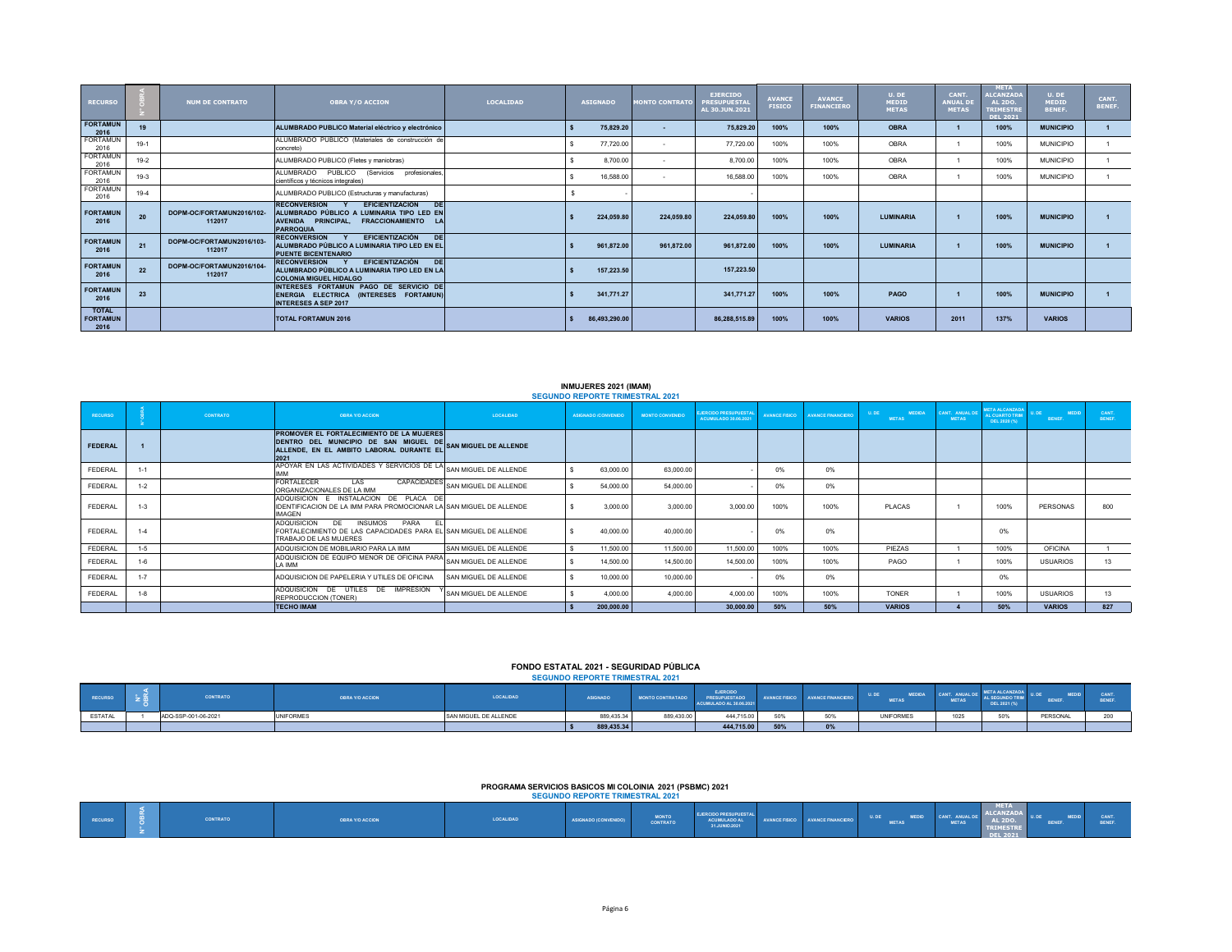| <b>RECURSO</b>                          |        | <b>NUM DE CONTRATO</b>              | <b>OBRA Y/O ACCION</b>                                                                                                                                                  | <b>LOCALTDAD</b> | <b>ASIGNADO</b> |               | <b>MONTO CONTRATO</b> | <b>EJERCIDO</b><br><b>PRESUPUESTAI</b><br>AL 30.JUN.2021 | <b>AVANCE</b><br><b>FISICO</b> | <b>AVANCE</b><br><b>FINANCIERO</b> | U. DE<br>MEDID<br><b>METAS</b> | <b>CANT</b><br><b>ANUAL D</b><br><b>METAS</b> | <b>META</b><br><b>ALCANZADA</b><br><b>AL 2DO.</b><br><b>TRIMESTRI</b><br>DEL 2021 | U. DE<br><b>MEDID</b><br>BENEF. | CANT.<br>BENEF. |
|-----------------------------------------|--------|-------------------------------------|-------------------------------------------------------------------------------------------------------------------------------------------------------------------------|------------------|-----------------|---------------|-----------------------|----------------------------------------------------------|--------------------------------|------------------------------------|--------------------------------|-----------------------------------------------|-----------------------------------------------------------------------------------|---------------------------------|-----------------|
| <b>FORTAMUN</b><br>2016                 | 19     |                                     | ALUMBRADO PUBLICO Material eléctrico y electrónico                                                                                                                      |                  |                 | 75,829.20     | .                     | 75,829.20                                                | 100%                           | 100%                               | <b>OBRA</b>                    |                                               | 100%                                                                              | <b>MUNICIPIO</b>                |                 |
| FORTAMUN<br>2016                        | $19-1$ |                                     | ALUMBRADO PUBLICO (Materiales de construcción de<br>concreto)                                                                                                           |                  |                 | 77,720.00     | $\sim$                | 77,720.00                                                | 100%                           | 100%                               | <b>OBRA</b>                    |                                               | 100%                                                                              | <b>MUNICIPIO</b>                |                 |
| FORTAMUN<br>2016                        | $19-2$ |                                     | ALUMBRADO PUBLICO (Fletes y maniobras)                                                                                                                                  |                  |                 | 8,700.00      | . .                   | 8,700.00                                                 | 100%                           | 100%                               | <b>OBRA</b>                    |                                               | 100%                                                                              | <b>MUNICIPIO</b>                |                 |
| FORTAMUN<br>2016                        | 19-3   |                                     | ALUMBRADO PUBLICO<br>(Servicios profesionales,<br>científicos y técnicos integrales)                                                                                    |                  |                 | 16,588.00     | . .                   | 16,588.00                                                | 100%                           | 100%                               | <b>OBRA</b>                    |                                               | 100%                                                                              | <b>MUNICIPIO</b>                |                 |
| <b>FORTAMUN</b><br>2016                 | 19-4   |                                     | ALUMBRADO PUBLICO (Estructuras y manufacturas)                                                                                                                          |                  |                 |               |                       |                                                          |                                |                                    |                                |                                               |                                                                                   |                                 |                 |
| <b>FORTAMUN</b><br>2016                 | 20     | DOPM-OC/FORTAMUN2016/102-<br>112017 | <b>EFICIENTIZACIÓN</b><br><b>RECONVERSION</b><br><b>DE</b><br>ALUMBRADO PÚBLICO A LUMINARIA TIPO LED EN<br>AVENIDA PRINCIPAL. FRACCIONAMIENTO<br>LA<br><b>PARROQUIA</b> |                  |                 | 224,059.80    | 224.059.80            | 224,059.80                                               | 100%                           | 100%                               | <b>LUMINARIA</b>               |                                               | 100%                                                                              | <b>MUNICIPIO</b>                |                 |
| <b>FORTAMUN</b><br>2016                 | 21     | DOPM-OC/FORTAMUN2016/103-<br>112017 | EFICIENTIZACIÓN<br><b>RECONVERSION</b><br><b>DE</b><br>ALUMBRADO PÚBLICO A LUMINARIA TIPO LED EN EL<br><b>PUENTE BICENTENARIO</b>                                       |                  |                 | 961,872.00    | 961,872.00            | 961.872.00                                               | 100%                           | 100%                               | <b>LUMINARIA</b>               |                                               | 100%                                                                              | <b>MUNICIPIO</b>                |                 |
| <b>FORTAMUN</b><br>2016                 | 22     | DOPM-OC/FORTAMUN2016/104-<br>112017 | EFICIENTIZACIÓN<br>DE<br><b>RECONVERSION</b><br>ALUMBRADO PÚBLICO A LUMINARIA TIPO LED EN LA<br><b>COLONIA MIGUEL HIDALGO</b>                                           |                  |                 | 157,223.50    |                       | 157.223.50                                               |                                |                                    |                                |                                               |                                                                                   |                                 |                 |
| <b>FORTAMUN</b><br>2016                 | 23     |                                     | INTERESES FORTAMUN PAGO DE SERVICIO DE<br>ENERGIA ELECTRICA (INTERESES FORTAMUN)<br><b>INTERESES A SEP 2017</b>                                                         |                  |                 | 341,771.27    |                       | 341,771,27                                               | 100%                           | 100%                               | PAGO                           |                                               | 100%                                                                              | <b>MUNICIPIO</b>                |                 |
| <b>TOTAL</b><br><b>FORTAMUN</b><br>2016 |        |                                     | <b>TOTAL FORTAMUN 2016</b>                                                                                                                                              |                  |                 | 86,493,290.00 |                       | 86,288,515.89                                            | 100%                           | 100%                               | <b>VARIOS</b>                  | 2011                                          | 137%                                                                              | <b>VARIOS</b>                   |                 |

## **INMUJERES 2021 (IMAM)**

|                |         |          |                                                                                                                                                                                    |                                   | <b>SEGUNDO REPORTE TRIMESTRAL 2021</b> |                        |                                                      |                      |                   |                                        |                                |                                                       |                        |                       |
|----------------|---------|----------|------------------------------------------------------------------------------------------------------------------------------------------------------------------------------------|-----------------------------------|----------------------------------------|------------------------|------------------------------------------------------|----------------------|-------------------|----------------------------------------|--------------------------------|-------------------------------------------------------|------------------------|-----------------------|
| <b>RECURSO</b> |         | CONTRATO | <b>OBRA Y/O ACCION</b>                                                                                                                                                             | LOCALIDAD                         | ASIGNADO /CONVENIDO                    | <b>MONTO CONVENIDO</b> | <b>EJERCIDO PRESUPUESTAI</b><br>ACUMULADO 30.06.2021 | <b>AVANCE FISICO</b> | AVANCE FINANCIERO | U, DE<br><b>MEDIDA</b><br><b>METAS</b> | CANT. ANUAL DE<br><b>METAS</b> | <b>IETA ALCANZAD</b><br>L CUARTO TRIM<br>DEL 2020 (%) | <b>MEDID</b><br>BENEF. | <b>CANT</b><br>BENEF. |
| <b>FEDERAL</b> |         |          | PROMOVER EL FORTALECIMIENTO DE LA MUJERES<br>DENTRO DEL MUNICIPIO DE SAN MIGUEL DE SAN MIGUEL DE ALLENDE<br>ALLENDE, EN EL AMBITO LABORAL DURANTE EL SAN MIGUEL DE ALLENDE<br>2021 |                                   |                                        |                        |                                                      |                      |                   |                                        |                                |                                                       |                        |                       |
| FEDERAL        | $1 - 1$ |          | APOYAR EN LAS ACTIVIDADES Y SERVICIOS DE LA SAN MIGUEL DE ALLENDE<br>MM                                                                                                            |                                   | 63,000.00                              | 63,000.00              |                                                      | 0%                   | 0%                |                                        |                                |                                                       |                        |                       |
| FEDERAL        | $1 - 2$ |          | <b>FORTALECER</b><br>LAS<br>ORGANIZACIONALES DE LA IMM                                                                                                                             | CAPACIDADES SAN MIGUEL DE ALLENDE | 54,000.00                              | 54,000.00              |                                                      | 0%                   | 0%                |                                        |                                |                                                       |                        |                       |
| FEDERAL        | $1 - 3$ |          | ADQUISICION E INSTALACION DE PLACA DE<br>IDENTIFICACION DE LA IMM PARA PROMOCIONAR LA SAN MIGUEL DE ALLENDE<br><b>IMAGEN</b>                                                       |                                   | 3.000.00                               | 3.000.00               | 3.000.00                                             | 100%                 | 100%              | PLACAS                                 |                                | 100%                                                  | PERSONAS               | 800                   |
| FEDERAL        | $1 - 4$ |          | <b>ADQUISICION</b><br>DE<br><b>PARA</b><br><b>INSUMOS</b><br>- EL<br>FORTALECIMIENTO DE LAS CAPACIDADES PARA EL SAN MIGUEL DE ALLENDE<br>TRABAJO DE LAS MUJERES                    |                                   | 40,000.00                              | 40,000.00              |                                                      | 0%                   | 0%                |                                        |                                | 0%                                                    |                        |                       |
| FEDERAL        | $1-5$   |          | ADQUISICION DE MOBILIARIO PARA LA IMM                                                                                                                                              | SAN MIGUEL DE ALLENDE             | 11,500.00                              | 11,500.00              | 11,500.00                                            | 100%                 | 100%              | PIF7AS                                 |                                | 100%                                                  | <b>OFICINA</b>         |                       |
| FEDERAL        | $1 - 6$ |          | ADQUISICION DE EQUIPO MENOR DE OFICINA PARA SAN MIGUEL DE ALLENDE<br>I A IMM                                                                                                       |                                   | 14,500.00                              | 14,500.00              | 14,500.00                                            | 100%                 | 100%              | PAGO                                   |                                | 100%                                                  | <b>USUARIOS</b>        | 13                    |
| FEDERAL        | $1 - 7$ |          | ADQUISICION DE PAPELERIA Y UTILES DE OFICINA                                                                                                                                       | <b>SAN MIGUEL DE ALLENDE</b>      | 10,000.00                              | 10,000.00              |                                                      | 0%                   | 0%                |                                        |                                | 0%                                                    |                        |                       |
| FEDERAL        | $1 - 8$ |          | ADQUISICION DE UTILES DE IMPRESIÓN<br>REPRODUCCION (TONER)                                                                                                                         | SAN MIGUEL DE ALLENDE             | 4.000.00                               | 4.000.00               | 4.000.00                                             | 100%                 | 100%              | <b>TONER</b>                           |                                | 100%                                                  | <b>USUARIOS</b>        | 13                    |
|                |         |          | <b>TECHO IMAM</b>                                                                                                                                                                  |                                   | 200,000.00                             |                        | 30,000.00                                            | 50%                  | 50%               | <b>VARIOS</b>                          |                                | 50%                                                   | <b>VARIOS</b>          | 827                   |

#### **SEGUNDO REPORTE TRIMESTRAL 2021 FONDO ESTATAL 2021 - SEGURIDAD PÚBLICA**

| RECURSO        | CONTRATO            | OBRA Y/O ACCION  | LOCALIDAD             | <b>ASIGNADO</b> | <b>MONTO CONTRATADO</b> | <b>EJERCIDO</b><br><b>RESUPLIESTADO</b><br>ACUMULADO AL 30.06.202 |                     | <b>AVANCE FINANCIERO</b> | U.DE<br><b>METAS</b> | <b>METAS</b> | AL SEGUNDO TRIM<br>DEL 2021 (%) | <b>BENEF</b> |      |
|----------------|---------------------|------------------|-----------------------|-----------------|-------------------------|-------------------------------------------------------------------|---------------------|--------------------------|----------------------|--------------|---------------------------------|--------------|------|
| <b>ESTATAL</b> | ADQ-SSP-001-06-2021 | <b>UNIFORMES</b> | SAN MIGUEL DE ALLENDE | 889,435.34      | 889,430.00              | 444.715.00                                                        | <b>CON</b><br>30%   |                          | <b>UNIFORMES</b>     | 1025         |                                 | PERSONAL     | 0.00 |
|                |                     |                  |                       | 889,435.34      |                         | 444,715.00                                                        | EOR/<br><b>3070</b> | $\mathbf{U}$ 70          |                      |              |                                 |              |      |

## **PROGRAMA SERVICIOS BASICOS MI COLOINIA 2021 (PSBMC) 2021**

|                |                 |                        |           | <b>SEGUNDO REPORTE TRIMESTRAL 2021</b> |                                 |                                                              |                      |                 |                                                  |                                |                                                    |                             |      |
|----------------|-----------------|------------------------|-----------|----------------------------------------|---------------------------------|--------------------------------------------------------------|----------------------|-----------------|--------------------------------------------------|--------------------------------|----------------------------------------------------|-----------------------------|------|
| <b>RECURSO</b> | <b>CONTRATO</b> | <b>DBRA Y/O ACCION</b> | LOCALIDAD | ASIGNADO (CONVENIDO)                   | <b>MONTO</b><br><b>CONTRATO</b> | <b>EJERCIDO PRESUPUESTA</b><br>ACUMULADO AL<br>31.JUNIO.2021 | <b>AVANCE FISICO</b> | ANCE FINANCIERO | U. DE<br>-----<br><b>ALCOHOL</b><br><b>METAS</b> | <b>KUAL DI</b><br><b>METAS</b> | 1ETA<br><b>ALCAN</b><br>.<br>$ML$ 2DO.<br>DEL 2021 | <b>U.U.</b><br><b>BENEF</b> | CANT |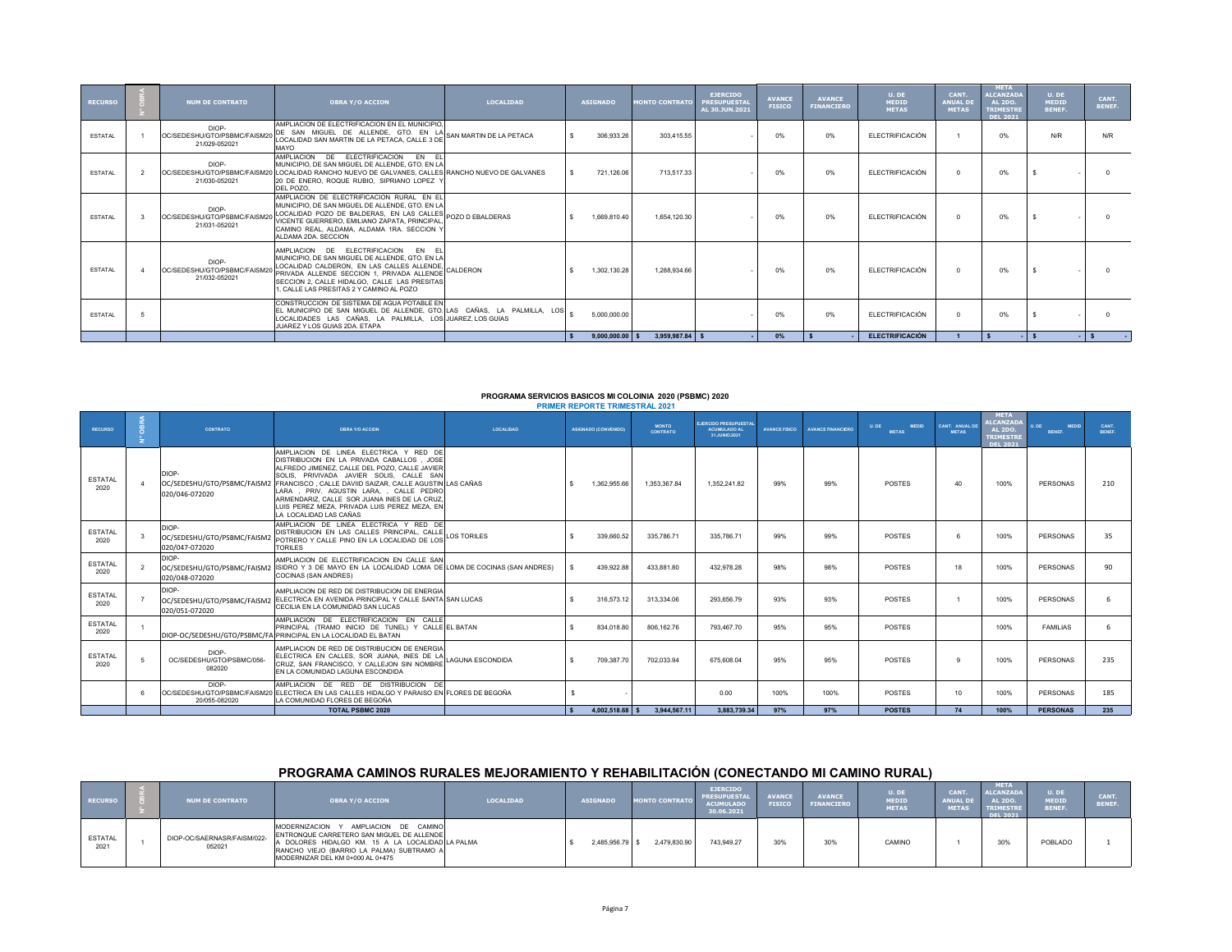| <b>RECURSO</b> | <b>NUM DE CONTRATO</b>                                | <b>OBRA Y/O ACCION</b>                                                                                                                                                                                                                                                           | <b>LOCALIDAD</b> | <b>ASIGNADO</b>   | <b>MONTO CONTRATO</b> | <b>EJERCIDO</b><br><b>PRESUPUESTAL</b><br>AL 30.JUN.2021 | <b>AVANCE</b><br><b>FISICO</b> | <b>AVANCE</b><br><b>FINANCIERO</b> | U. DE<br>MEDID<br><b>METAS</b> | CANT.<br><b>ANUAL DI</b><br><b>METAS</b> | <b>META</b><br><b>ALCANZADA</b><br><b>AL 2DO.</b><br><b>TRIMESTRE</b><br>DEL 2021 | U. DE<br><b>MEDID</b><br>BENEF. | CANT.<br>BENEF. |
|----------------|-------------------------------------------------------|----------------------------------------------------------------------------------------------------------------------------------------------------------------------------------------------------------------------------------------------------------------------------------|------------------|-------------------|-----------------------|----------------------------------------------------------|--------------------------------|------------------------------------|--------------------------------|------------------------------------------|-----------------------------------------------------------------------------------|---------------------------------|-----------------|
| <b>ESTATAL</b> | DIOP-<br>OC/SEDESHU/GTO/PSBMC/FAISM2<br>21/029-052021 | AMPLIACION DE ELECTRIFICACION EN EL MUNICIPIO.<br>DE SAN MIGUEL DE ALLENDE, GTO. EN LA SAN MARTIN DE LA PETACA<br>LOCALIDAD SAN MARTIN DE LA PETACA. CALLE 3 DE<br>MAYO                                                                                                          |                  | 306.933.26        | 303.415.55            |                                                          | 0%                             | 0%                                 | <b>ELECTRIFICACIÓN</b>         |                                          | 0%                                                                                | N/R                             | N/R             |
| <b>ESTATAL</b> | DIOP-<br>21/030-052021                                | AMPLIACION DE ELECTRIFICACION EN EL<br>MUNICIPIO. DE SAN MIGUEL DE ALLENDE. GTO. EN LA<br>OC/SEDESHU/GTO/PSBMC/FAISM20 LOCALIDAD RANCHO NUEVO DE GALVANES, CALLES RANCHO NUEVO DE GALVANES<br>20 DE ENERO, ROQUE RUBIO, SIPRIANO LOPEZ Y<br>DEL POZO.                            |                  | 721.126.06        | 713.517.33            |                                                          | 0%                             | 0%                                 | FLECTRIFICACIÓN                | $\Omega$                                 | 0%                                                                                |                                 |                 |
| <b>ESTATAL</b> | DIOP-<br>OC/SEDESHU/GTO/PSBMC/FAISM<br>21/031-052021  | AMPLIACION DE ELECTRIFICACION RURAL EN EL<br>MUNICIPIO, DE SAN MIGUEL DE ALLENDE, GTO, EN LA<br>LOCALIDAD POZO DE BALDERAS, EN LAS CALLES POZO D EBALDERAS<br>VICENTE GUERRERO, EMILIANO ZAPATA, PRINCIPAL.<br>CAMINO REAL, ALDAMA, ALDAMA 1RA, SECCION Y<br>ALDAMA 2DA, SECCION |                  | 1.669.810.40      | 1.654.120.30          |                                                          | 0%                             | 0%                                 | <b>ELECTRIFICACIÓN</b>         | $\Omega$                                 | 0%                                                                                |                                 |                 |
| <b>ESTATAL</b> | DIOP-<br>OC/SEDESHU/GTO/PSBMC/FAISM<br>21/032-052021  | AMPLIACION DE ELECTRIFICACION EN EL<br>MUNICIPIO. DE SAN MIGUEL DE ALLENDE. GTO. EN LA<br>LOCALIDAD CALDERON, EN LAS CALLES ALLENDE,<br>PRIVADA ALLENDE SECCION 1. PRIVADA ALLENDE<br>SECCION 2. CALLE HIDALGO. CALLE LAS PRESITAS<br>1 CALLETAS PRESITAS 2 Y CAMINO AL POZO     | CALDERON         | 1.302.130.28      | 1.288.934.66          |                                                          | 0%                             | 0%                                 | <b>ELECTRIFICACIÓN</b>         | $\Omega$                                 | 0%                                                                                |                                 |                 |
| <b>ESTATAL</b> |                                                       | CONSTRUCCION DE SISTEMA DE AGUA POTABLE EN<br>EL MUNICIPIO DE SAN MIGUEL DE ALLENDE, GTO. LAS CAÑAS, LA PALMILLA, LOS  <br>LOCALIDADES LAS CAÑAS, LA PALMILLA, LOS JUAREZ, LOS GUIAS<br>JUAREZ Y LOS GUIAS 2DA. ETAPA                                                            |                  | 5.000.000.00      |                       |                                                          | 0%                             | 0%                                 | <b>ELECTRIFICACIÓN</b>         | $\Omega$                                 | 0%                                                                                |                                 |                 |
|                |                                                       |                                                                                                                                                                                                                                                                                  |                  | $9.000.000.00$ \$ | $3.959.987.84$ \$     |                                                          | $0\%$                          |                                    | <b>ELECTRIFICACIÓN</b>         |                                          |                                                                                   |                                 |                 |

#### **PROGRAMA SERVICIOS BASICOS MI COLOINIA 2020 (PSBMC) 2020 BRID REPORTE TRIMESTRAL 2024**

| <b>RECURSO</b>         | <b>CONTRATO</b>                              | <b>OBRA Y/O ACCION</b>                                                                                                                                                                                                                                                                                                                                                                                                                       | <b>LOCALIDAD</b>   | <b>ASIGNADO (CONVENIDO)</b> | <b>MONTO</b><br><b>CONTRATO</b> | <b>JERCIDO PRESUPUESTA</b><br>ACUMULADO AL<br>31.JUNIO.2021 | <b>AVANCE FISICO</b> | <b>AVANCE FINANCIERO</b> | <b>MEDID</b><br>U.DE<br><b>METAS</b> | CANT. ANUAL DE<br><b>METAS</b> | <b>META</b><br><b>LCANZAD</b><br><b>AL 2DO</b> | <b>MEDID</b><br><b>II DF</b><br><b>BENEF.</b> | CANT.<br><b>RENEE</b> |
|------------------------|----------------------------------------------|----------------------------------------------------------------------------------------------------------------------------------------------------------------------------------------------------------------------------------------------------------------------------------------------------------------------------------------------------------------------------------------------------------------------------------------------|--------------------|-----------------------------|---------------------------------|-------------------------------------------------------------|----------------------|--------------------------|--------------------------------------|--------------------------------|------------------------------------------------|-----------------------------------------------|-----------------------|
|                        |                                              |                                                                                                                                                                                                                                                                                                                                                                                                                                              |                    |                             |                                 |                                                             |                      |                          |                                      |                                | <b>TRIMESTRE</b><br>DEL 2021                   |                                               |                       |
| <b>ESTATAL</b><br>2020 | DIOP-<br>020/046-072020                      | AMPLIACION DE LINEA ELECTRICA Y RED DE<br>DISTRIBUCION EN LA PRIVADA CABALLOS. JOSE<br>ALFREDO JIMENEZ, CALLE DEL POZO, CALLE JAVIER<br>SOLIS, PRIVIVADA JAVIER SOLIS, CALLE SAN<br>OC/SEDESHU/GTO/PSBMC/FAISM2 FRANCISCO, CALLE DAVIID SAIZAR, CALLE AGUSTIN LAS CAÑAS<br>LARA, PRIV. AGUSTIN LARA, , CALLE PEDRO<br>ARMENDARIZ, CALLE SOR JUANA INES DE LA CRUZ,<br>LUIS PEREZ MEZA. PRIVADA LUIS PEREZ MEZA. EN<br>LA LOCALIDAD LAS CAÑAS |                    | 1.362.955.66                | 1.353.367.84                    | 1.352.241.82                                                | 99%                  | 99%                      | POSTES                               | 40                             | 100%                                           | PERSONAS                                      | 210                   |
| <b>ESTATAL</b><br>2020 | DIOP-<br>020/047-072020                      | AMPLIACION DE LINEA ELECTRICA Y RED DE<br>DISTRIBUCION EN LAS CALLES PRINCIPAL, CALLE<br>OC/SEDESHU/GTO/PSBMC/FAISM2 POTRERO Y CALLE PINO EN LA LOCALIDAD DE LOS<br><b>TORILES</b>                                                                                                                                                                                                                                                           | <b>LOS TORILES</b> | 339,660.52                  | 335,786.71                      | 335,786.71                                                  | 99%                  | 99%                      | POSTES                               | 6                              | 100%                                           | PERSONAS                                      | 35                    |
| <b>ESTATAL</b><br>2020 | DIOP-<br>020/048-072020                      | AMPLIACION DE ELECTRIFICACION EN CALLE SAN<br>OC/SEDESHU/GTO/PSBMC/FAISM2 ISIDRO Y 3 DE MAYO EN LA LOCALIDAD LOMA DE LOMA DE COCINAS (SAN ANDRES)<br>COCINAS (SAN ANDRES)                                                                                                                                                                                                                                                                    |                    | 439.922.88                  | 433.881.80                      | 432 978 28                                                  | 98%                  | 98%                      | POSTES                               | 18                             | 100%                                           | PERSONAS                                      | 90                    |
| <b>ESTATAL</b><br>2020 | DIOP-<br>020/051-072020                      | AMPLIACION DE RED DE DISTRIBUCION DE ENERGIA<br>OC/SEDESHU/GTO/PSBMC/FAISM2 ELECTRICA EN AVENIDA PRINCIPAL Y CALLE SANTA SAN LUCAS<br>CECILIA EN LA COMUNIDAD SAN LUCAS                                                                                                                                                                                                                                                                      |                    | 316.573.12                  | 313.334.06                      | 293.656.79                                                  | 93%                  | 93%                      | POSTES                               |                                | 100%                                           | PERSONAS                                      |                       |
| <b>ESTATAL</b><br>2020 |                                              | AMPLIACION DE ELECTRIFICACION EN CALLE<br>PRINCIPAL (TRAMO INICIO DE TUNEL) Y CALLE EL BATAN<br>DIOP-OC/SEDESHU/GTO/PSBMC/FA PRINCIPAL EN LA LOCALIDAD EL BATAN                                                                                                                                                                                                                                                                              |                    | 834.018.80                  | 806.162.76                      | 793.467.70                                                  | 95%                  | 95%                      | POSTES                               |                                | 100%                                           | <b>FAMILIAS</b>                               |                       |
| <b>ESTATAL</b><br>2020 | DIOP-<br>OC/SEDESHU/GTO/PSBMC/056-<br>082020 | AMPLIACION DE RED DE DISTRIBUCION DE ENERGIA<br>ELECTRICA EN CALLES, SOR JUANA, INES DE LA LOGUNA ESCONDIDA<br>CRUZ. SAN FRANCISCO. Y CALLEJON SIN NOMBRE<br>EN LA COMUNIDAD LAGUNA ESCONDIDA                                                                                                                                                                                                                                                |                    | 709.387.70                  | 702.033.94                      | 675,608.04                                                  | 95%                  | 95%                      | POSTES                               | $\alpha$                       | 100%                                           | PERSONAS                                      | 235                   |
|                        | DIOP-<br>20/055-082020                       | AMPLIACION DE RED DE DISTRIBUCION DE<br>OC/SEDESHU/GTO/PSBMC/FAISM20 ELECTRICA EN LAS CALLES HIDALGO Y PARAISO EN FLORES DE BEGOÑA<br>LA COMUNIDAD FLORES DE BEGOÑA                                                                                                                                                                                                                                                                          |                    |                             |                                 | 0.00                                                        | 100%                 | 100%                     | POSTES                               | 10                             | 100%                                           | PERSONAS                                      | 185                   |
|                        |                                              | <b>TOTAL PSBMC 2020</b>                                                                                                                                                                                                                                                                                                                                                                                                                      |                    | $4.002.518.68$ \$           | 3.944.567.11                    | 3.883.739.34                                                | 97%                  | 97%                      | <b>POSTES</b>                        | 74                             | 100%                                           | <b>PERSONAS</b>                               | 235                   |

## **PROGRAMA CAMINOS RURALES MEJORAMIENTO Y REHABILITACIÓN (CONECTANDO MI CAMINO RURAL)**

| <b>RECURSO</b>         | <b>NUM DE CONTRATO</b>                | <b>OBRA Y/O ACCION</b>                                                                                                                                                                                                 | <b>LOCALIDAD</b> | <b>ASIGNADO</b> | <b>MONTO CONTRATO</b> | <b>EJERCIDO</b><br><b>PRESUPUESTAL</b><br><b>ACUMULADO</b><br>30.06.2021 | <b>AVANCE</b><br><b>FISICO</b> | <b>AVANCE</b><br><b>FINANCIERO</b> | U. DE<br>MEDID<br>METAS | <b>CANT</b><br><b>ANUAL DE</b><br><b>METAS</b> | <b>META</b><br><b>ALCANZADA</b><br><b>AL 2DO.</b><br><b>TRIMESTRE</b><br><b>DEL 2021</b> | U. DE<br>MEDID<br><b>BENEF.</b> | <b>CANT</b><br><b>BENEF</b> |
|------------------------|---------------------------------------|------------------------------------------------------------------------------------------------------------------------------------------------------------------------------------------------------------------------|------------------|-----------------|-----------------------|--------------------------------------------------------------------------|--------------------------------|------------------------------------|-------------------------|------------------------------------------------|------------------------------------------------------------------------------------------|---------------------------------|-----------------------------|
| <b>ESTATAL</b><br>2021 | DIOP-OC/SAERNASR/FAISM/022-<br>052021 | MODERNIZACION Y AMPLIACION DE CAMINO<br>ENTRONQUE CARRETERO SAN MIGUEL DE ALLENDE<br>A DOLORES HIDALGO KM. 15 A LA LOCALIDAD LA PALMA<br>RANCHO VIEJO (BARRIO LA PALMA) SUBTRAMO A<br>MODERNIZAR DEL KM 0+000 AL 0+475 |                  | 2.485.956.79 \$ | 2,479,830.90          | 743.949.27                                                               | 30%                            | 30%                                | CAMINO                  |                                                | 30%                                                                                      | POBLADO                         |                             |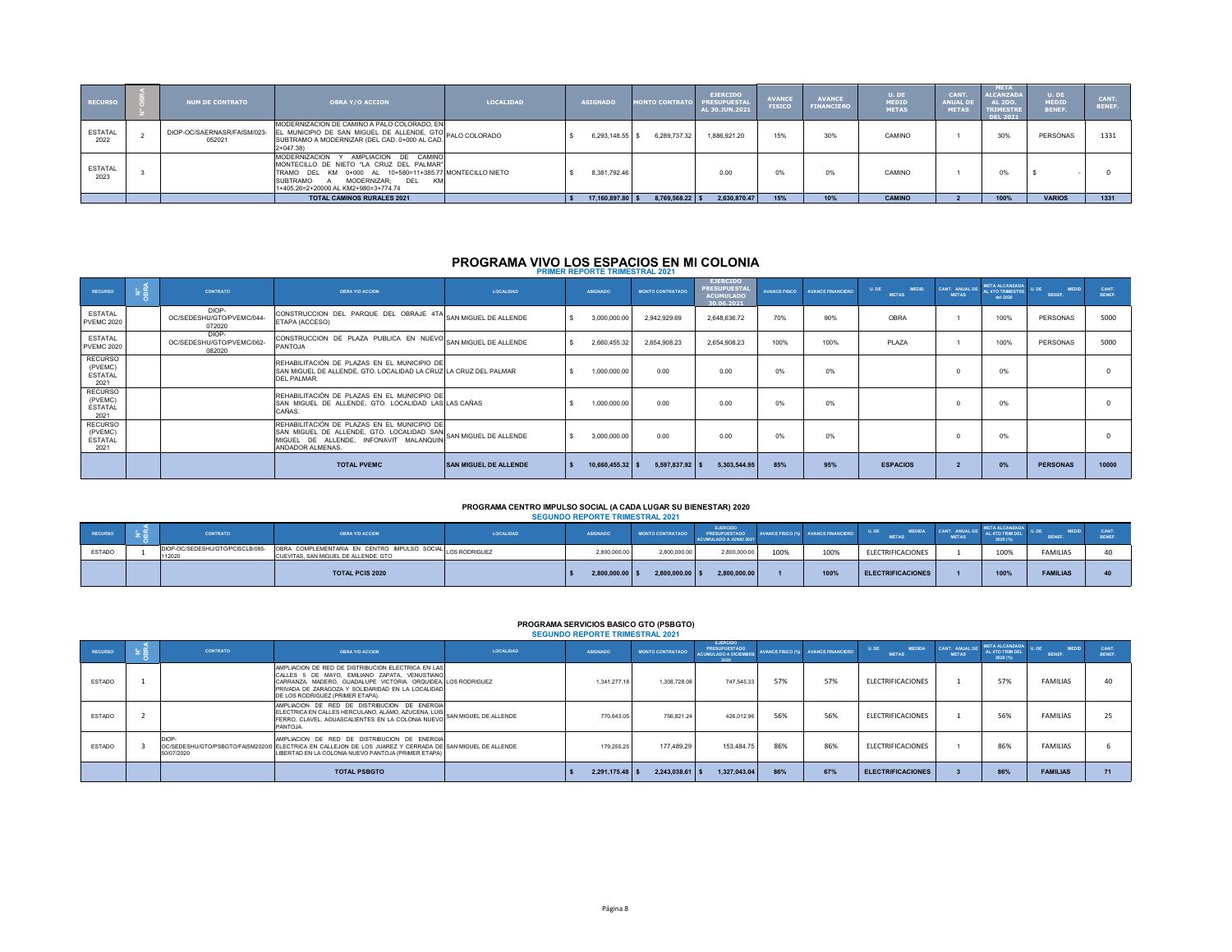| <b>RECURSO</b>         | <b>NUM DE CONTRATO</b>                | <b>OBRA Y/O ACCION</b>                                                                                                                                                                                                            | <b>LOCALIDAD</b> | <b>ASIGNADO</b>  | <b>MONTO CONTRATO</b> | <b>EJERCIDO</b><br><b>PRESUPUESTAL</b><br>AL 30.JUN.2021 | <b>AVANCE</b><br><b>FISICO</b> | <b>AVANCE</b><br><b>FINANCIERO</b> | U. DE<br><b>MEDID</b><br><b>METAS</b> | CANT.<br><b>ANUAL DE</b><br><b>METAS</b> | <b>META</b><br><b>ALCANZADA</b><br><b>AL 2DO.</b><br><b>TRIMESTRE</b><br>DEL 2021 | U. DE<br><b>MEDID</b><br>BENEF. | <b>CANT</b><br>BENEF. |
|------------------------|---------------------------------------|-----------------------------------------------------------------------------------------------------------------------------------------------------------------------------------------------------------------------------------|------------------|------------------|-----------------------|----------------------------------------------------------|--------------------------------|------------------------------------|---------------------------------------|------------------------------------------|-----------------------------------------------------------------------------------|---------------------------------|-----------------------|
| <b>ESTATAL</b><br>2022 | DIOP-OC/SAERNASR/FAISM/023-<br>052021 | MODERNIZACION DE CAMINO A PALO COLORADO. EN<br>EL MUNICIPIO DE SAN MIGUEL DE ALLENDE, GTO<br>SUBTRAMO A MODERNIZAR (DEL CAD. 0+000 AL CAD.<br>$2+047.38$                                                                          | ALO COLORADO     | 6,293,148.55 \$  | 6.289.737.32          | 1.886.921.20                                             | 15%                            | 30%                                | CAMINO                                |                                          | 30%                                                                               | PERSONAS                        | 1331                  |
| <b>ESTATAL</b><br>2023 |                                       | MODERNIZACION Y AMPLIACION DE CAMINO<br>MONTECILLO DE NIETO "LA CRUZ DEL PALMAR"<br>TRAMO DEL KM 0+000 AL 10+580=11+385.77 MONTECILLO NIETO<br>MODERNIZAR: DEL<br>SUBTRAMO A<br><b>KM</b><br>1+405.26=2+20000 AL KM2+980=3+774.74 |                  | 8.381.792.46     |                       | 0.00                                                     | 0%                             | 0%                                 | CAMINO                                |                                          |                                                                                   |                                 |                       |
|                        |                                       | <b>TOTAL CAMINOS RURALES 2021</b>                                                                                                                                                                                                 |                  | 17,160,897.80 \$ | 8,769,568.22          | 2,630,870.47                                             | 15%                            | 10%                                | <b>CAMINO</b>                         |                                          | 100%                                                                              | <b>VARIOS</b>                   | 1331                  |

# **PROGRAMA VIVO LOS ESPACIOS EN MI COLONIA PRIMER REPORTE TRIMESTRAL 2021**

| RECURSO                                             | $\approx$ $\frac{\alpha}{2}$ | CONTRATO                                     | <b>OBRA Y/O ACCION</b>                                                                                                                                                       | <b>LOCALIDAD</b>             | ASIGNADO         | <b>MONTO CONTRATADO</b> | <b>EJERCIDO</b><br><b>PRESUPUESTAL</b><br><b>ACUMULADO</b><br>30.06.2021 | <b>AVANCE FISICO</b> | AVANCE ENANCIERO | U. DE<br><b>MEDID</b><br><b>METAS</b> | CANT. ANUAL DE<br><b>METAS</b> | <b>META ALCANZADA</b><br>AL 4TO TRIMESTRE<br>del 2020 | <b>MEDID</b><br>U. DE<br>BENEF. | <b>CANT</b><br><b>RENEE</b> |
|-----------------------------------------------------|------------------------------|----------------------------------------------|------------------------------------------------------------------------------------------------------------------------------------------------------------------------------|------------------------------|------------------|-------------------------|--------------------------------------------------------------------------|----------------------|------------------|---------------------------------------|--------------------------------|-------------------------------------------------------|---------------------------------|-----------------------------|
| <b>ESTATAL</b><br><b>PVEMC 2020</b>                 |                              | DIOP-<br>OC/SEDESHU/GTO/PVEMC/044-<br>072020 | CONSTRUCCION DEL PARQUE DEL OBRAJE 4TA SAN MIGUEL DE ALLENDE<br>ETAPA (ACCESO)                                                                                               |                              | 3,000,000.00     | 2.942.929.69            | 2.648.636.72                                                             | 70%                  | 90%              | <b>OBRA</b>                           |                                | 100%                                                  | PERSONAS                        | 5000                        |
| <b>ESTATAL</b><br><b>PVEMC 2020</b>                 |                              | DIOP-<br>OC/SEDESHU/GTO/PVEMC/062-<br>082020 | CONSTRUCCION DE PLAZA PUBLICA EN NUEVO SAN MIGUEL DE ALLENDE<br>PANTOJA                                                                                                      |                              | 2,660,455.32     | 2.654.908.23            | 2.654.908.23                                                             | 100%                 | 100%             | PLAZA                                 |                                | 100%                                                  | PERSONAS                        | 5000                        |
| <b>RECURSO</b><br>(PVEMC)<br><b>ESTATAL</b><br>2021 |                              |                                              | REHABILITACIÓN DE PLAZAS EN EL MUNICIPIO DE<br>SAN MIGUEL DE ALLENDE. GTO. LOCALIDAD LA CRUZ LA CRUZ DEL PALMAR<br>DEL PALMAR.                                               |                              | 1,000,000.00     | 0.00                    | 0.00                                                                     | 0%                   | 0%               |                                       |                                | 0%                                                    |                                 |                             |
| <b>RECURSO</b><br>(PVEMC)<br><b>ESTATAL</b><br>2021 |                              |                                              | REHABILITACIÓN DE PLAZAS EN EL MUNICIPIO DE<br>SAN MIGUEL DE ALLENDE. GTO. LOCALIDAD LAS LAS CAÑAS<br>CAÑAS.                                                                 |                              | 1,000,000.00     | 0.00                    | 0.00                                                                     | 0%                   | 0%               |                                       |                                | 0%                                                    |                                 |                             |
| RECURSO<br>(PVEMC)<br><b>ESTATAL</b><br>2021        |                              |                                              | REHABILITACIÓN DE PLAZAS EN EL MUNICIPIO DE<br>SAN MIGUEL DE ALLENDE, GTO. LOCALIDAD SAN SAN MIGUEL DE ALLENDE<br>MIGUEL DE ALLENDE. INFONAVIT MALANQUIN<br>ANDADOR ALMENAS. |                              | 3,000,000.00     | 0.00                    | 0.00                                                                     | 0%                   | 0%               |                                       |                                | 0%                                                    |                                 |                             |
|                                                     |                              |                                              | <b>TOTAL PVEMC</b>                                                                                                                                                           | <b>SAN MIGUEL DE ALLENDE</b> | 10.660.455.32 \$ | $5.597.837.92$ \$       | 5.303.544.95                                                             | 85%                  | 95%              | <b>ESPACIOS</b>                       | $\overline{2}$                 | 0%                                                    | <b>PERSONAS</b>                 | 10000                       |

#### **PROGRAMA CENTRO IMPULSO SOCIAL (A CADA LUGAR SU BIENESTAR) 2020 SEGUNDO REPORTE TRIMESTRAL 2021**

|               |                                           |                                                                                                    |                  | <b>SLOUNDO INCRUITE INIMESTIVAL 494T</b> |                         |                                                                   |      |                                           |                                       |              |                                                         |                 |             |
|---------------|-------------------------------------------|----------------------------------------------------------------------------------------------------|------------------|------------------------------------------|-------------------------|-------------------------------------------------------------------|------|-------------------------------------------|---------------------------------------|--------------|---------------------------------------------------------|-----------------|-------------|
| RECURSO       | CONTRATO                                  | <b>OBRA Y/O ACCION</b>                                                                             | <b>LOCALIDAD</b> | <b>ASIGNADO</b>                          | <b>MONTO CONTRATADO</b> | <b>EJERCIDO</b><br><b>PRESUPUESTADO</b><br>ACUMULADO A JUNIO 2021 |      | <b>VANCE FISICO (%)</b> AVANCE FINANCIERO | <b>MEDIDA</b><br>U.DE<br><b>METAS</b> | <b>METAS</b> | <b>META ALCANZADA</b><br><b>TO TRIM DEL</b><br>2020 (%) | BENEF.          | <b>ENEF</b> |
| <b>ESTADO</b> | DIOP-OC/SEDESHU/GTO/PCISCLB/085-<br>12020 | OBRA COMPLEMENTARIA EN CENTRO IMPULSO SOCIAL LOS RODRIGUEZ<br>CUEVITAS, SAN MIGUEL DE ALLENDE, GTO |                  | 2.800.000.00                             | 2,800,000.00            | 2,800,000.00                                                      | 100% | 100%                                      | ELECTRIFICACIONES                     |              | 100%                                                    | <b>FAMILIAS</b> |             |
|               |                                           | <b>TOTAL PCIS 2020</b>                                                                             |                  | $2,800,000.00$ \$                        | 2,800,000.00            | 2,800,000.00                                                      |      | 100%                                      | <b>ELECTRIFICACIONES</b>              |              | 100%                                                    | <b>FAMILIAS</b> |             |

## **PROGRAMA SERVICIOS BASICO GTO (PSBGTO) SEGUNDO REPORTE TRIMESTRAL 2021**

| <b>RECURSO</b> | <b>CONTRATO</b>     | <b>OBRA Y/O ACCION</b>                                                                                                                                                                                                                                       | LOCALIDAD | <b>ASIGNADO</b>   | <b>MONTO CONTRATADO</b> | <b>EJERCIDO</b><br><b>PRESUPUESTADO</b><br><b>ACUMULADO A DICIEMBE</b><br>2020 |     | AVANCE FISICO (%) AVANCE FINANCIERO | U.DE<br><b>MEDIDA</b><br><b>METAS</b> | CANT. ANUAL DE<br><b>METAS</b> | <b>META ALCANZADA</b><br>AL 4TO TRIM DEL<br>2020 (%) | <b>MEDID</b><br>U. DE<br>BENEF. | <b>CANT</b><br><b>RENEE</b> |
|----------------|---------------------|--------------------------------------------------------------------------------------------------------------------------------------------------------------------------------------------------------------------------------------------------------------|-----------|-------------------|-------------------------|--------------------------------------------------------------------------------|-----|-------------------------------------|---------------------------------------|--------------------------------|------------------------------------------------------|---------------------------------|-----------------------------|
| <b>ESTADO</b>  |                     | AMPLIACION DE RED DE DISTRIBUCION ELECTRICA EN LAS<br>CALLES 5 DE MAYO. EMILIANO ZAPATA. VENUSTIANO<br>CARRANZA, MADERO, GUADALUPE VICTORIA, ORQUIDEA LOS RODRIGUEZ<br>PRIVADA DE ZARAGOZA Y SOLIDARIDAD EN LA LOCALIDAD<br>DE LOS RODRIGUEZ (PRIMER ETAPA). |           | 1.341.277.18      | 1.308.728.08            | 747.545.33                                                                     | 57% | 57%                                 | <b>ELECTRIFICACIONES</b>              |                                | 57%                                                  | <b>FAMILIAS</b>                 | 40                          |
| <b>ESTADO</b>  |                     | AMPLIACION DE RED DE DISTRIBUCION DE ENERGIA<br>ELECTRICA EN CALLES HERCULANO, ALAMO, AZUCENA, LUIS SAN MIGUEL DE ALLENDE<br>FERRO. CLAVEL. AGUASCALIENTES EN LA COLONIA NUEVO<br>PANTOJA.                                                                   |           | 770.643.05        | 756.821.24              | 426.012.96                                                                     | 56% | 56%                                 | <b>ELECTRIFICACIONES</b>              |                                | 56%                                                  | <b>FAMILIAS</b>                 | 25                          |
| <b>ESTADO</b>  | DIOP-<br>50/07/2020 | AMPLIACION DE RED DE DISTRIBUCION DE ENERGIA<br>OC/SEDESHU/GTO/PSBGTO/FAISM2020/0 ELECTRICA EN CALLEJON DE LOS JUAREZ Y CERRADA DE SAN MIGUEL DE ALLENDE<br>LIBERTAD EN LA COLONIA NUEVO PANTOJA (PRIMER ETAPA)                                              |           | 179.255.25        | 177,489.29              | 153,484.75                                                                     | 86% | 86%                                 | ELECTRIFICACIONES                     |                                | 86%                                                  | FAMILIAS                        |                             |
|                |                     | <b>TOTAL PSBGTO</b>                                                                                                                                                                                                                                          |           | $2.291.175.48$ \$ | $2,243,038,61$ \$       | 1.327.043.04                                                                   | 86% | 67%                                 | <b>ELECTRIFICACIONES</b>              |                                | 86%                                                  | <b>FAMILIAS</b>                 |                             |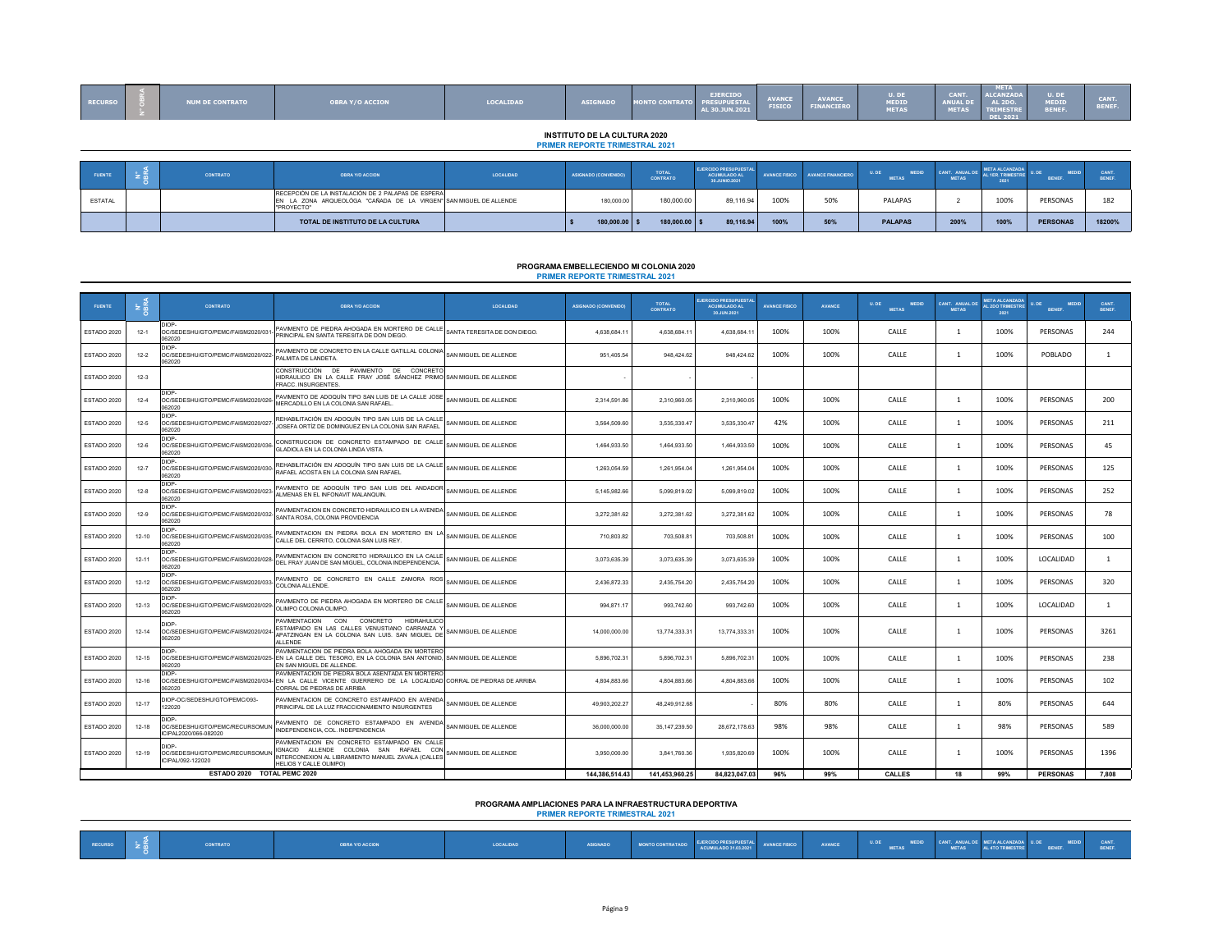| <b>RECURSO</b> | <b>NUM DE CONTRATO</b> | <b>OBRA Y/O ACCION</b>                                                                                                                | <b>LOCALIDAD</b> | <b>ASIGNADO</b>                                                              | <b>MONTO CONTRATO</b>           | <b>EJERCIDO</b><br><b>PRESUPUESTAL</b><br>AL 30.JUN.2021      | <b>AVANCE</b><br><b>FISICO</b> | <b>AVANCE</b><br><b>FINANCIERO</b> | U. DE<br><b>MEDID</b><br><b>METAS</b> | CANT.<br><b>ANUAL DE</b><br><b>METAS</b> | <b>META</b><br><b>ILCANZADA</b><br><b>AL 2DO.</b><br><b>TRIMESTRE</b><br><b>DEL 2021</b> | U. DE<br><b>MEDID</b><br>BENEF. | <b>CANT.</b><br>BENEF. |
|----------------|------------------------|---------------------------------------------------------------------------------------------------------------------------------------|------------------|------------------------------------------------------------------------------|---------------------------------|---------------------------------------------------------------|--------------------------------|------------------------------------|---------------------------------------|------------------------------------------|------------------------------------------------------------------------------------------|---------------------------------|------------------------|
|                |                        |                                                                                                                                       |                  | <b>INSTITUTO DE LA CULTURA 2020</b><br><b>PRIMER REPORTE TRIMESTRAL 2021</b> |                                 |                                                               |                                |                                    |                                       |                                          |                                                                                          |                                 |                        |
|                |                        |                                                                                                                                       |                  |                                                                              |                                 |                                                               |                                |                                    |                                       |                                          |                                                                                          |                                 |                        |
|                |                        |                                                                                                                                       |                  |                                                                              |                                 |                                                               |                                |                                    |                                       |                                          |                                                                                          |                                 |                        |
| <b>FUENTE</b>  | CONTRATO               | <b>OBRA Y/O ACCION</b>                                                                                                                | LOCALIDAD        | ASIGNADO (CONVENIDO)                                                         | <b>TOTAL</b><br><b>CONTRATO</b> | <b>EJERCIDO PRESUPUESTAL</b><br>ACUMULADO AL<br>30.JUNIO.2021 |                                | AVANCE FISICO AVANCE FINANCIERO    | MEDID<br>U. DE<br><b>METAS</b>        | CANT. ANUAL DE<br><b>METAS</b>           | <b>META ALCANZADA</b><br>L 1ER. TRIMESTRE<br>2021                                        | U. DE<br><b>MEDID</b><br>BENEF. | CANT<br><b>BENEF.</b>  |
| <b>ESTATAL</b> |                        | RECEPCIÓN DE LA INSTALACIÓN DE 2 PALAPAS DE ESPERA<br>EN LA ZONA ARQUEOLÓGA "CAÑADA DE LA VIRGEN" SAN MIGUEL DE ALLENDE<br>"PROYECTO" |                  | 180,000.00                                                                   | 180,000,00                      | 89.116.94                                                     | 100%                           | 50%                                | PALAPAS                               | ∠                                        | 100%                                                                                     | PERSONAS                        | 182                    |

### **PRIMER REPORTE TRIMESTRAL 2021 PROGRAMA EMBELLECIENDO MI COLONIA 2020**

| <b>FUENTE</b> | ≽ 后       | <b>CONTRATO</b>                                                  | <b>OBRA Y/O ACCION</b>                                                                                                                                                                         | LOCALIDAD                    | <b>ASIGNADO (CONVENIDO)</b> | <b>TOTAL</b><br><b>CONTRATO</b> | <b>JERCIDO PRESUPUESTA</b><br><b>ACUMULADO AL</b><br>30.JUN.2021 | <b>AVANCE FISICO</b> | <b>AVANCE</b> | U, DE<br><b>MEDID</b><br><b>METAS</b> | CANT ANIIALL<br><b>MFTAS</b> | <b>META ALCANZAD</b><br><b>L 2DO TRIMESTR</b><br>2021 | <b>MEDID</b><br><b>BENEF.</b> | CANT.<br>BENEF. |
|---------------|-----------|------------------------------------------------------------------|------------------------------------------------------------------------------------------------------------------------------------------------------------------------------------------------|------------------------------|-----------------------------|---------------------------------|------------------------------------------------------------------|----------------------|---------------|---------------------------------------|------------------------------|-------------------------------------------------------|-------------------------------|-----------------|
| ESTADO 2020   | $12 - 1$  | OC/SEDESHU/GTO/PEMC/FAISM2020/031-<br>062020                     | PAVIMENTO DE PIEDRA AHOGADA EN MORTERO DE CALLE<br>PRINCIPAL EN SANTA TERESITA DE DON DIEGO                                                                                                    | SANTA TERESITA DE DON DIEGO. | 4,638,684.1                 | 4,638,684.11                    | 4,638,684.11                                                     | 100%                 | 100%          | CALLE                                 | -1                           | 100%                                                  | PERSONAS                      | 244             |
| ESTADO 2020   | $12 - 2$  | DIOP-<br>OC/SEDESHU/GTO/PEMC/FAISM2020/022-<br>062020            | PAVIMENTO DE CONCRETO EN LA CALLE GATILLAL COLONIA<br>PALMITA DE LANDETA.                                                                                                                      | SAN MIGUEL DE ALLENDE        | 951,405.54                  | 948.424.62                      | 948.424.62                                                       | 100%                 | 100%          | CALLE                                 | $\overline{1}$               | 100%                                                  | POBLADO                       | $\mathbf{1}$    |
| ESTADO 2020   | $12 - 3$  |                                                                  | CONSTRUCCIÓN DE PAVIMENTO<br>DE<br>CONCRETO<br>HIDRAULICO EN LA CALLE FRAY JOSÉ SÁNCHEZ PRIMO SAN MIGUEL DE ALLENDE<br>FRACC. INSURGENTES.                                                     |                              |                             |                                 |                                                                  |                      |               |                                       |                              |                                                       |                               |                 |
| ESTADO 2020   | $12-4$    | DIOP-<br>OC/SEDESHU/GTO/PEMC/FAISM2020/026-<br>062020            | PAVIMENTO DE ADOQUÍN TIPO SAN LUIS DE LA CALLE JOSE<br>MERCADILLO EN LA COLONIA SAN RAFAEL                                                                                                     | SAN MIGUEL DE ALLENDE        | 2,314,591.86                | 2,310,960.05                    | 2,310,960.05                                                     | 100%                 | 100%          | CALLE                                 | $\overline{1}$               | 100%                                                  | PERSONAS                      | 200             |
| ESTADO 2020   | $12-5$    | DIOP-<br>OC/SEDESHU/GTO/PEMC/FAISM2020/027-<br>062020            | REHABILITACIÓN EN ADOQUÍN TIPO SAN LUIS DE LA CALLE<br>JOSEFA ORTÍZ DE DOMINGUEZ EN LA COLONIA SAN RAFAEL                                                                                      | SAN MIGUEL DE ALLENDE        | 3,564,509.60                | 3,535,330.47                    | 3,535,330.47                                                     | 42%                  | 100%          | CALLE                                 | $\overline{1}$               | 100%                                                  | PERSONAS                      | 211             |
| ESTADO 2020   | $12-6$    | DIOP-<br>OC/SEDESHU/GTO/PEMC/FAISM2020/036-<br>062020            | CONSTRUCCION DE CONCRETO ESTAMPADO DE CALLE<br>GLADIOLA EN LA COLONIA LINDA VISTA.                                                                                                             | SAN MIGUEL DE ALLENDE        | 1,464,933.50                | 1,464,933.50                    | 1,464,933.50                                                     | 100%                 | 100%          | CALLE                                 | $\overline{1}$               | 100%                                                  | PERSONAS                      | 45              |
| ESTADO 2020   | $12 - 7$  | DIOP-<br>OC/SEDESHU/GTO/PEMC/FAISM2020/030-<br>062020            | REHABILITACIÓN EN ADOQUÍN TIPO SAN LUIS DE LA CALLE<br>RAFAEL ACOSTA EN LA COLONIA SAN RAFAEL                                                                                                  | SAN MIGUEL DE ALLENDE        | 1,263,054.59                | 1,261,954.04                    | 1,261,954.04                                                     | 100%                 | 100%          | CALLE                                 | $\overline{1}$               | 100%                                                  | PERSONAS                      | 125             |
| ESTADO 2020   | $12 - 8$  | DIOP-<br>OC/SEDESHU/GTO/PEMC/FAISM2020/023<br>062020             | PAVIMENTO DE ADOQUÍN TIPO SAN LUIS DEL ANDADOR<br><b>LLMENAS EN EL INFONAVIT MALANQUIN</b>                                                                                                     | SAN MIGUEL DE ALLENDE        | 5.145.982.66                | 5.099.819.02                    | 5.099.819.02                                                     | 100%                 | 100%          | CALLE                                 | $\overline{1}$               | 100%                                                  | PERSONAS                      | 252             |
| ESTADO 2020   | $12-9$    | DIOP-<br>OC/SEDESHU/GTO/PEMC/FAISM2020/03<br>062020              | PAVIMENTACION EN CONCRETO HIDRAULICO EN LA AVENIDA<br>SANTA ROSA, COLONIA PROVIDENCIA                                                                                                          | SAN MIGUEL DE ALLENDE        | 3,272,381.62                | 3,272,381.62                    | 3.272.381.62                                                     | 100%                 | 100%          | CALLE                                 | $\overline{1}$               | 100%                                                  | PERSONAS                      | 78              |
| ESTADO 2020   | 12-10     | DIOP-<br>OC/SEDESHU/GTO/PEMC/FAISM2020/03<br>062020              | PAVIMENTACION EN PIEDRA BOLA EN MORTERO EN LA<br>CALLE DEL CERRITO, COLONIA SAN LUIS REY                                                                                                       | SAN MIGUEL DE ALLENDE        | 710,803.82                  | 703,508.81                      | 703,508.81                                                       | 100%                 | 100%          | CALLE                                 | -1                           | 100%                                                  | PERSONAS                      | 100             |
| ESTADO 2020   | 12-11     | <b>JIOP-</b><br>OC/SEDESHU/GTO/PEMC/FAISM2020/028<br>062020      | PAVIMENTACION EN CONCRETO HIDRAULICO EN LA CALLE<br>DEL FRAY JUAN DE SAN MIGUEL, COLONIA INDEPENDENCIA.                                                                                        | SAN MIGUEL DE ALLENDE        | 3.073.635.39                | 3,073,635.39                    | 3,073,635.39                                                     | 100%                 | 100%          | CALLE                                 | -1                           | 100%                                                  | LOCALIDAD                     | 1               |
| ESTADO 2020   | $12 - 12$ | DIOP-<br>OC/SEDESHU/GTO/PEMC/FAISM2020/033-<br>062020            | PAVIMENTO DE CONCRETO EN CALLE ZAMORA RIOS<br>COLONIA ALLENDE.                                                                                                                                 | SAN MIGUEL DE ALLENDE        | 2,436,872.33                | 2,435,754.20                    | 2,435,754.20                                                     | 100%                 | 100%          | CALLE                                 | $\overline{1}$               | 100%                                                  | PERSONAS                      | 320             |
| ESTADO 2020   | 12-13     | DIOP-<br>OC/SEDESHU/GTO/PEMC/FAISM2020/029-<br>062020            | PAVIMENTO DE PIEDRA AHOGADA EN MORTERO DE CALLE<br>OLIMPO COLONIA OLIMPO.                                                                                                                      | SAN MIGUEL DE ALLENDE        | 994,871.17                  | 993,742.60                      | 993,742.60                                                       | 100%                 | 100%          | CALLE                                 | $\overline{1}$               | 100%                                                  | LOCALIDAD                     | $\mathbf{1}$    |
| ESTADO 2020   | $12 - 14$ | DIOP-<br>OC/SEDESHU/GTO/PEMC/FAISM2020/024-<br>062020            | <b>PAVIMENTACION</b><br>CON CONCRETO<br>HIDRAHULICO<br>ESTAMPADO EN LAS CALLES VENUSTIANO CARRANZA Y<br>APATZINGAN EN LA COLONIA SAN LUIS. SAN MIGUEL DE<br>ALLENDE                            | SAN MIGUEL DE ALLENDE        | 14.000.000.00               | 13,774,333.31                   | 13.774.333.31                                                    | 100%                 | 100%          | CALLE                                 |                              | 100%                                                  | PERSONAS                      | 3261            |
| ESTADO 2020   | $12 - 15$ | DIOP-<br>062020                                                  | PAVIMENTACION DE PIEDRA BOLA AHOGADA EN MORTERO<br>OC/SEDESHU/GTO/PEMC/FAISM2020/025- EN LA CALLE DEL TESORO. EN LA COLONIA SAN ANTONIO. SAN MIGUEL DE ALLENDE<br>EN SAN MIGUEL DE ALLENDE     |                              | 5.896.702.31                | 5.896.702.31                    | 5.896.702.31                                                     | 100%                 | 100%          | CALLE                                 | $\overline{1}$               | 100%                                                  | PERSONAS                      | 238             |
| ESTADO 2020   | 12-16     | DIOP-<br>062020                                                  | PAVIMENTACION DE PIEDRA BOLA ASENTADA EN MORTERO<br>OC/SEDESHU/GTO/PEMC/FAISM2020/034- EN LA CALLE VICENTE GUERRERO DE LA LOCALIDAD CORRAL DE PIEDRAS DE ARRIBA<br>CORRAL DE PIEDRAS DE ARRIBA |                              | 4,804,883.66                | 4,804,883.66                    | 4,804,883.66                                                     | 100%                 | 100%          | CALLE                                 | $\overline{1}$               | 100%                                                  | PERSONAS                      | 102             |
| ESTADO 2020   | 12-17     | DIOP-OC/SEDESHU/GTO/PEMC/093-<br>22020                           | PAVIMENTACION DE CONCRETO ESTAMPADO EN AVENIDA<br>PRINCIPAL DE LA LUZ FRACCIONAMIENTO INSURGENTES                                                                                              | SAN MIGUEL DE ALLENDE        | 49,903,202.27               | 48,249,912.68                   |                                                                  | 80%                  | 80%           | CALLE                                 | $\overline{1}$               | 80%                                                   | PERSONAS                      | 644             |
| ESTADO 2020   | 12-18     | DIOP-<br>OC/SEDESHU/GTO/PEMC/RECURSOMUN<br>ICIPAL2020/066-082020 | AVIMENTO DE CONCRETO ESTAMPADO EN AVENIDA<br>INDEPENDENCIA, COL. INDEPENDENCIA                                                                                                                 | SAN MIGUEL DE ALLENDE        | 36,000,000.00               | 35,147,239.50                   | 28,672,178.63                                                    | 98%                  | 98%           | CALLE                                 | $\overline{1}$               | 98%                                                   | PERSONAS                      | 589             |
| ESTADO 2020   | 12-19     | DIOP-<br>OC/SEDESHU/GTO/PEMC/RECURSOMUN<br>CIPAL/092-122020      | PAVIMENTACION EN CONCRETO ESTAMPADO EN CALLE<br>IGNACIO ALLENDE COLONIA SAN RAFAEL CON<br>NTERCONEXION AL LIBRAMIENTO MANUEL ZAVALA (CALLES<br>HELIOS Y CALLE OLIMPO)                          | SAN MIGUEL DE ALLENDE        | 3,950,000.00                | 3,841,760.36                    | 1,935,820.69                                                     | 100%                 | 100%          | CALLE                                 | $\overline{1}$               | 100%                                                  | PERSONAS                      | 1396            |
|               |           | ESTADO 2020 TOTAL PEMC 2020                                      |                                                                                                                                                                                                |                              | 144.386.514.43              | 141,453,960.25                  | 84.823.047.03                                                    | 96%                  | 99%           | CALLES                                | 18                           | 99%                                                   | <b>PERSONAS</b>               | 7.808           |

## **PROGRAMA AMPLIACIONES PARA LA INFRAESTRUCTURA DEPORTIVA PRIMER REPORTE TRIMESTRAL 2021**

| RECURSO |  | CONTRATO | <b>DBRA Y/O ACCION</b> | LOCALIDAD | ASIGNADO | MONTO CONTRATADO | EJERCIDO PRESUPUESTAL<br>ACUMULADO 31.03.2021 | <b>AVANCE FISICO</b> | AVANCE | U.DE MEDID CANT. ANUAL DE META ALCANZADA U.DE MEDID<br>METAS METAS AL4TOTRIMESTRE BENEF. |  | BENEF |
|---------|--|----------|------------------------|-----------|----------|------------------|-----------------------------------------------|----------------------|--------|------------------------------------------------------------------------------------------|--|-------|